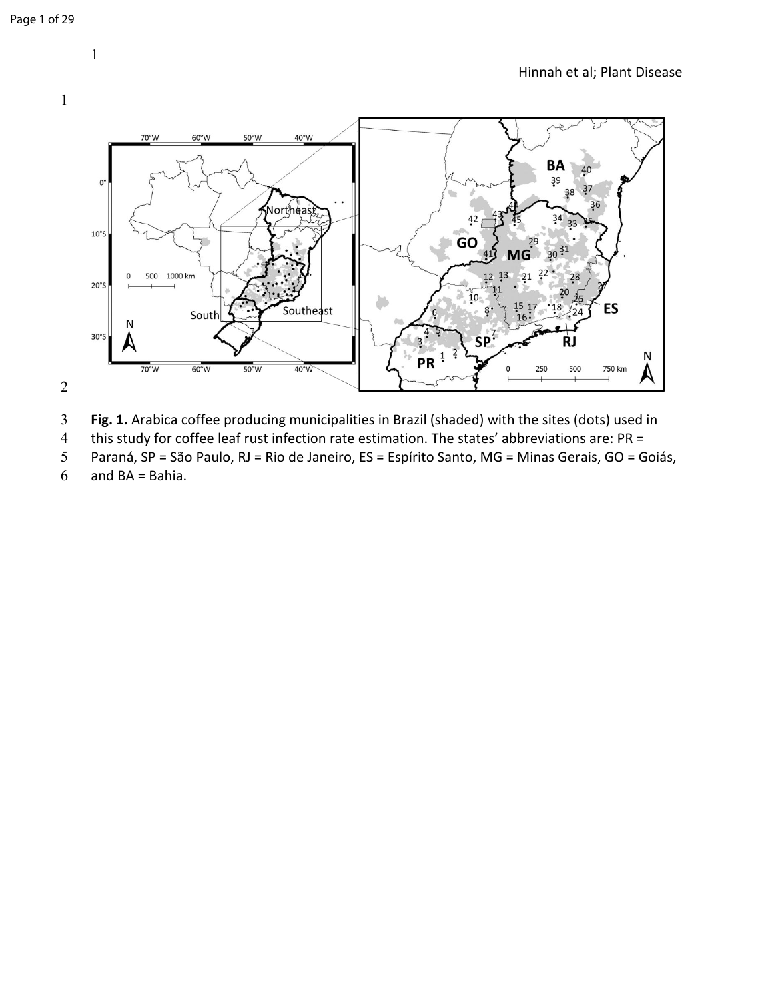## 







4 this study for coffee leaf rust infection rate estimation. The states' abbreviations are:  $PR =$ <br>5 Paraná, SP = São Paulo, RJ = Rio de Janeiro, ES = Espírito Santo, MG = Minas Gerais, GO = G

Paraná, SP = São Paulo, RJ = Rio de Janeiro, ES = Espírito Santo, MG = Minas Gerais, GO = Goiás,

and BA = Bahia.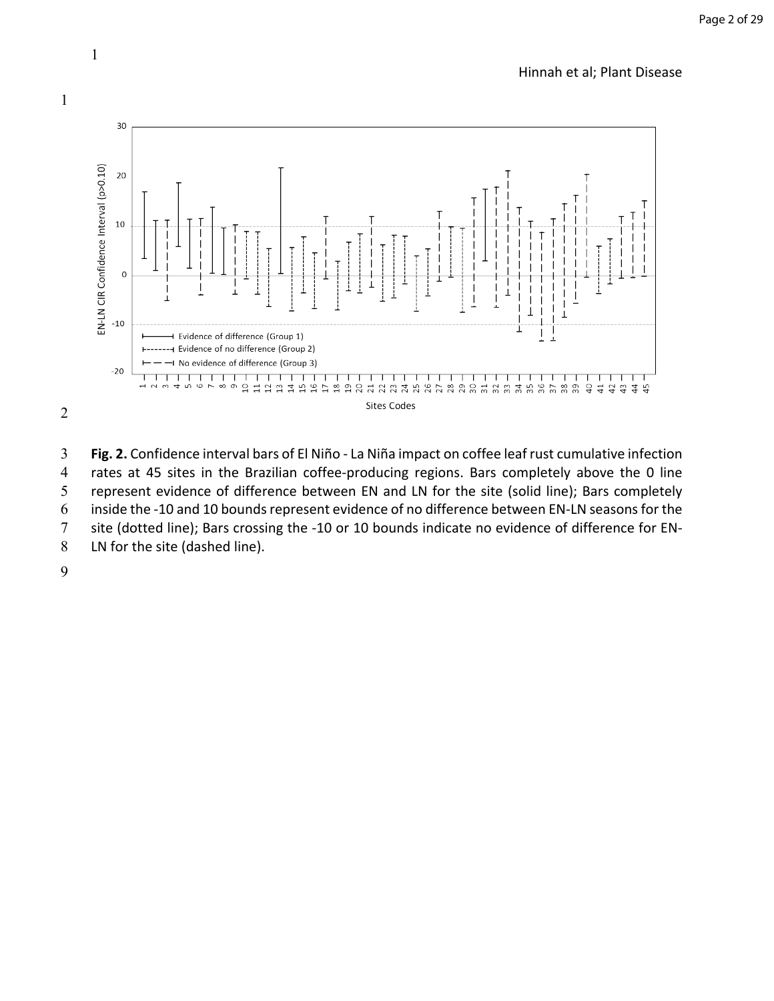

1

1

3 **Fig. 2.** Confidence interval bars of El Niño - La Niña impact on coffee leaf rust cumulative infection 4 rates at 45 sites in the Brazilian coffee-producing regions. Bars completely above the 0 line<br>5 represent evidence of difference between EN and LN for the site (solid line); Bars completely represent evidence of difference between EN and LN for the site (solid line); Bars completely 6 inside the -10 and 10 bounds represent evidence of no difference between EN-LN seasons for the site (dotted line); Bars crossing the -10 or 10 bounds indicate no evidence of difference for EN-8 LN for the site (dashed line).

9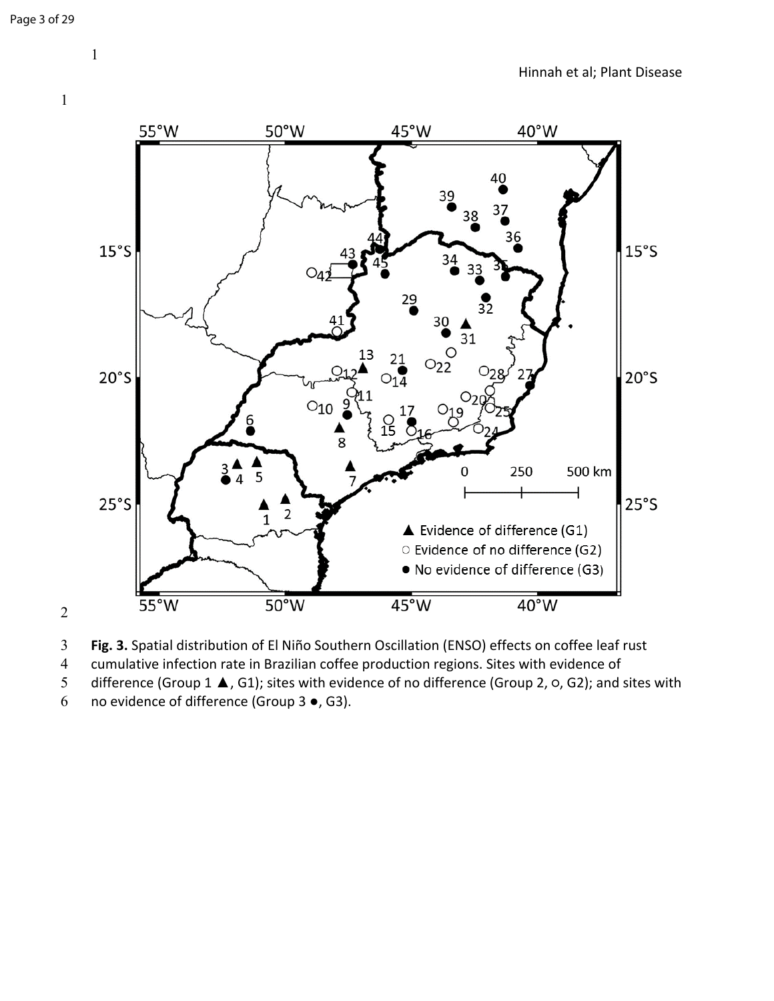

**Fig. 3.** Spatial distribution of El Niño Southern Oscillation (ENSO) effects on coffee leaf rust

cumulative infection rate in Brazilian coffee production regions. Sites with evidence of

difference (Group 1 ▲, G1); sites with evidence of no difference (Group 2, ○, G2); and sites with

no evidence of difference (Group 3 ●, G3).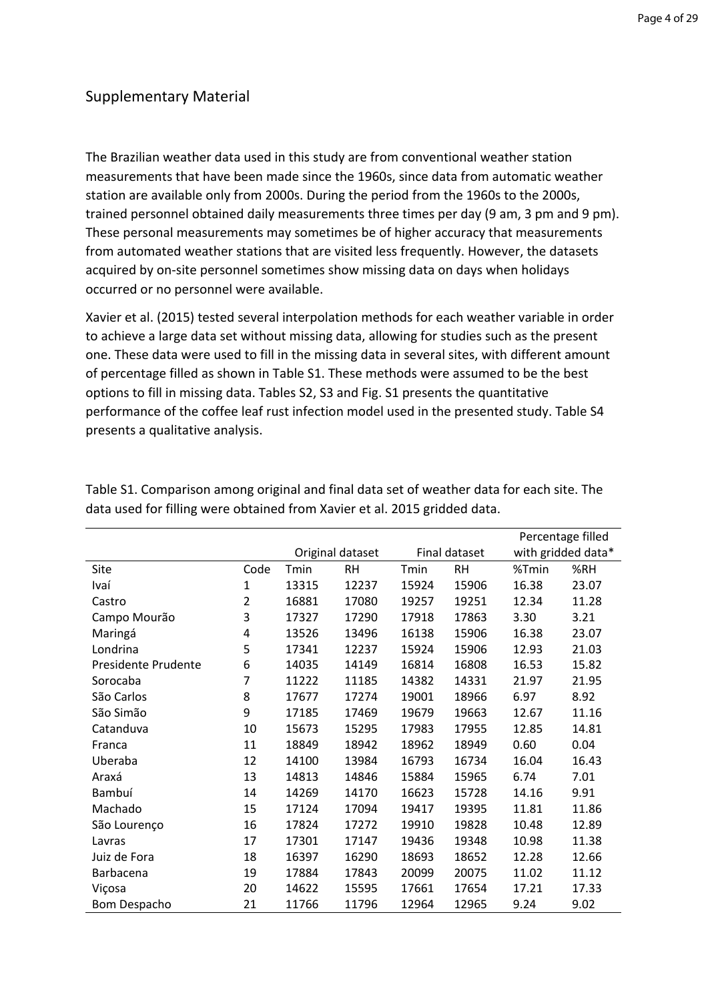# Supplementary Material

The Brazilian weather data used in this study are from conventional weather station measurements that have been made since the 1960s, since data from automatic weather station are available only from 2000s. During the period from the 1960s to the 2000s, trained personnel obtained daily measurements three times per day (9 am, 3 pm and 9 pm). These personal measurements may sometimes be of higher accuracy that measurements from automated weather stations that are visited less frequently. However, the datasets acquired by on-site personnel sometimes show missing data on days when holidays occurred or no personnel were available.

Xavier et al. (2015) tested several interpolation methods for each weather variable in order to achieve a large data set without missing data, allowing for studies such as the present one. These data were used to fill in the missing data in several sites, with different amount of percentage filled as shown in Table S1. These methods were assumed to be the best options to fill in missing data. Tables S2, S3 and Fig. S1 presents the quantitative performance of the coffee leaf rust infection model used in the presented study. Table S4 presents a qualitative analysis.

|                     |                |                  |           |       |               | Percentage filled  |       |
|---------------------|----------------|------------------|-----------|-------|---------------|--------------------|-------|
|                     |                | Original dataset |           |       | Final dataset | with gridded data* |       |
| Site                | Code           | Tmin             | <b>RH</b> | Tmin  | <b>RH</b>     | %Tmin              | %RH   |
| Ivaí                | $\mathbf{1}$   | 13315            | 12237     | 15924 | 15906         | 16.38              | 23.07 |
| Castro              | $\overline{2}$ | 16881            | 17080     | 19257 | 19251         | 12.34              | 11.28 |
| Campo Mourão        | 3              | 17327            | 17290     | 17918 | 17863         | 3.30               | 3.21  |
| Maringá             | 4              | 13526            | 13496     | 16138 | 15906         | 16.38              | 23.07 |
| Londrina            | 5              | 17341            | 12237     | 15924 | 15906         | 12.93              | 21.03 |
| Presidente Prudente | 6              | 14035            | 14149     | 16814 | 16808         | 16.53              | 15.82 |
| Sorocaba            | 7              | 11222            | 11185     | 14382 | 14331         | 21.97              | 21.95 |
| São Carlos          | 8              | 17677            | 17274     | 19001 | 18966         | 6.97               | 8.92  |
| São Simão           | 9              | 17185            | 17469     | 19679 | 19663         | 12.67              | 11.16 |
| Catanduva           | 10             | 15673            | 15295     | 17983 | 17955         | 12.85              | 14.81 |
| Franca              | 11             | 18849            | 18942     | 18962 | 18949         | 0.60               | 0.04  |
| Uberaba             | 12             | 14100            | 13984     | 16793 | 16734         | 16.04              | 16.43 |
| Araxá               | 13             | 14813            | 14846     | 15884 | 15965         | 6.74               | 7.01  |
| Bambuí              | 14             | 14269            | 14170     | 16623 | 15728         | 14.16              | 9.91  |
| Machado             | 15             | 17124            | 17094     | 19417 | 19395         | 11.81              | 11.86 |
| São Lourenço        | 16             | 17824            | 17272     | 19910 | 19828         | 10.48              | 12.89 |
| Lavras              | 17             | 17301            | 17147     | 19436 | 19348         | 10.98              | 11.38 |
| Juiz de Fora        | 18             | 16397            | 16290     | 18693 | 18652         | 12.28              | 12.66 |
| Barbacena           | 19             | 17884            | 17843     | 20099 | 20075         | 11.02              | 11.12 |
| Viçosa              | 20             | 14622            | 15595     | 17661 | 17654         | 17.21              | 17.33 |
| Bom Despacho        | 21             | 11766            | 11796     | 12964 | 12965         | 9.24               | 9.02  |

Table S1. Comparison among original and final data set of weather data for each site. The data used for filling were obtained from Xavier et al. 2015 gridded data.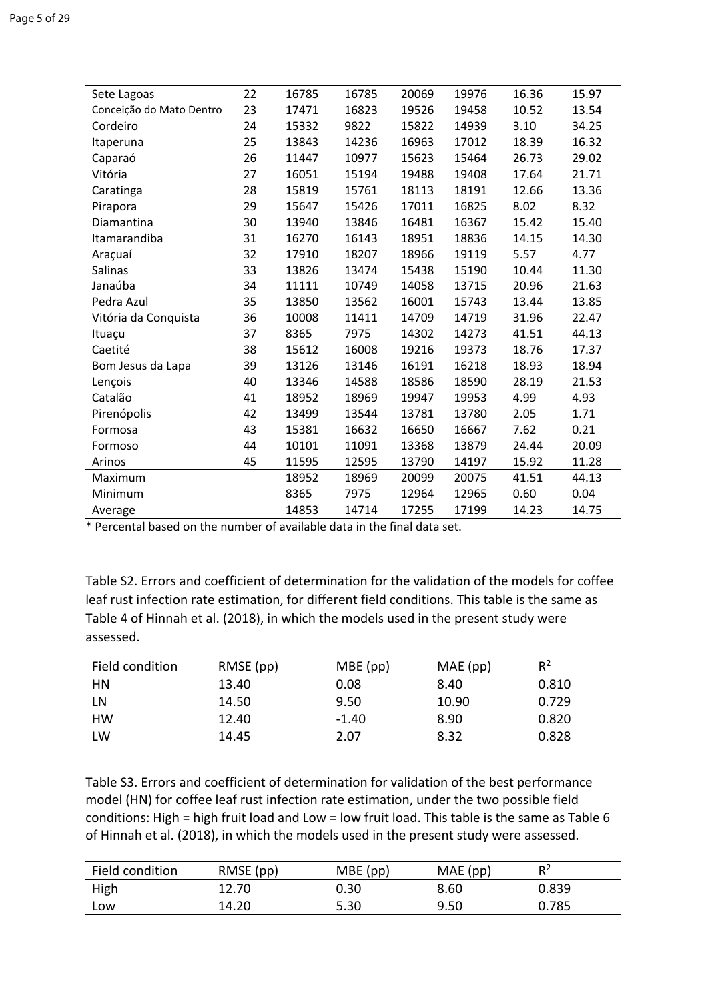| Sete Lagoas              | 22 | 16785 | 16785 | 20069 | 19976 | 16.36 | 15.97 |
|--------------------------|----|-------|-------|-------|-------|-------|-------|
| Conceição do Mato Dentro | 23 | 17471 | 16823 | 19526 | 19458 | 10.52 | 13.54 |
| Cordeiro                 | 24 | 15332 | 9822  | 15822 | 14939 | 3.10  | 34.25 |
| Itaperuna                | 25 | 13843 | 14236 | 16963 | 17012 | 18.39 | 16.32 |
| Caparaó                  | 26 | 11447 | 10977 | 15623 | 15464 | 26.73 | 29.02 |
| Vitória                  | 27 | 16051 | 15194 | 19488 | 19408 | 17.64 | 21.71 |
| Caratinga                | 28 | 15819 | 15761 | 18113 | 18191 | 12.66 | 13.36 |
| Pirapora                 | 29 | 15647 | 15426 | 17011 | 16825 | 8.02  | 8.32  |
| Diamantina               | 30 | 13940 | 13846 | 16481 | 16367 | 15.42 | 15.40 |
| Itamarandiba             | 31 | 16270 | 16143 | 18951 | 18836 | 14.15 | 14.30 |
| Araçuaí                  | 32 | 17910 | 18207 | 18966 | 19119 | 5.57  | 4.77  |
| <b>Salinas</b>           | 33 | 13826 | 13474 | 15438 | 15190 | 10.44 | 11.30 |
| Janaúba                  | 34 | 11111 | 10749 | 14058 | 13715 | 20.96 | 21.63 |
| Pedra Azul               | 35 | 13850 | 13562 | 16001 | 15743 | 13.44 | 13.85 |
| Vitória da Conquista     | 36 | 10008 | 11411 | 14709 | 14719 | 31.96 | 22.47 |
| Ituaçu                   | 37 | 8365  | 7975  | 14302 | 14273 | 41.51 | 44.13 |
| Caetité                  | 38 | 15612 | 16008 | 19216 | 19373 | 18.76 | 17.37 |
| Bom Jesus da Lapa        | 39 | 13126 | 13146 | 16191 | 16218 | 18.93 | 18.94 |
| Lençois                  | 40 | 13346 | 14588 | 18586 | 18590 | 28.19 | 21.53 |
| Catalão                  | 41 | 18952 | 18969 | 19947 | 19953 | 4.99  | 4.93  |
| Pirenópolis              | 42 | 13499 | 13544 | 13781 | 13780 | 2.05  | 1.71  |
| Formosa                  | 43 | 15381 | 16632 | 16650 | 16667 | 7.62  | 0.21  |
| Formoso                  | 44 | 10101 | 11091 | 13368 | 13879 | 24.44 | 20.09 |
| Arinos                   | 45 | 11595 | 12595 | 13790 | 14197 | 15.92 | 11.28 |
| Maximum                  |    | 18952 | 18969 | 20099 | 20075 | 41.51 | 44.13 |
| Minimum                  |    | 8365  | 7975  | 12964 | 12965 | 0.60  | 0.04  |
| Average                  |    | 14853 | 14714 | 17255 | 17199 | 14.23 | 14.75 |
|                          |    |       |       |       |       |       |       |

\* Percental based on the number of available data in the final data set.

Table S2. Errors and coefficient of determination for the validation of the models for coffee leaf rust infection rate estimation, for different field conditions. This table is the same as Table 4 of Hinnah et al. (2018), in which the models used in the present study were assessed.

| Field condition | RMSE (pp) | $MBE$ (pp) | $MAE$ (pp) | $R^2$ |
|-----------------|-----------|------------|------------|-------|
| HN              | 13.40     | 0.08       | 8.40       | 0.810 |
| LN              | 14.50     | 9.50       | 10.90      | 0.729 |
| НW              | 12.40     | $-1.40$    | 8.90       | 0.820 |
| LW              | 14.45     | 2.07       | 8.32       | 0.828 |

Table S3. Errors and coefficient of determination for validation of the best performance model (HN) for coffee leaf rust infection rate estimation, under the two possible field conditions: High = high fruit load and Low = low fruit load. This table is the same as Table 6 of Hinnah et al. (2018), in which the models used in the present study were assessed.

| Field condition | RMSE (pp) | $MBE$ (pp) | $MAE$ (pp) | $R^2$ |
|-----------------|-----------|------------|------------|-------|
| High            | 12.70     | 0.30       | 8.60       | 0.839 |
| Low             | 14.20     | 5.30       | 9.50       | 0.785 |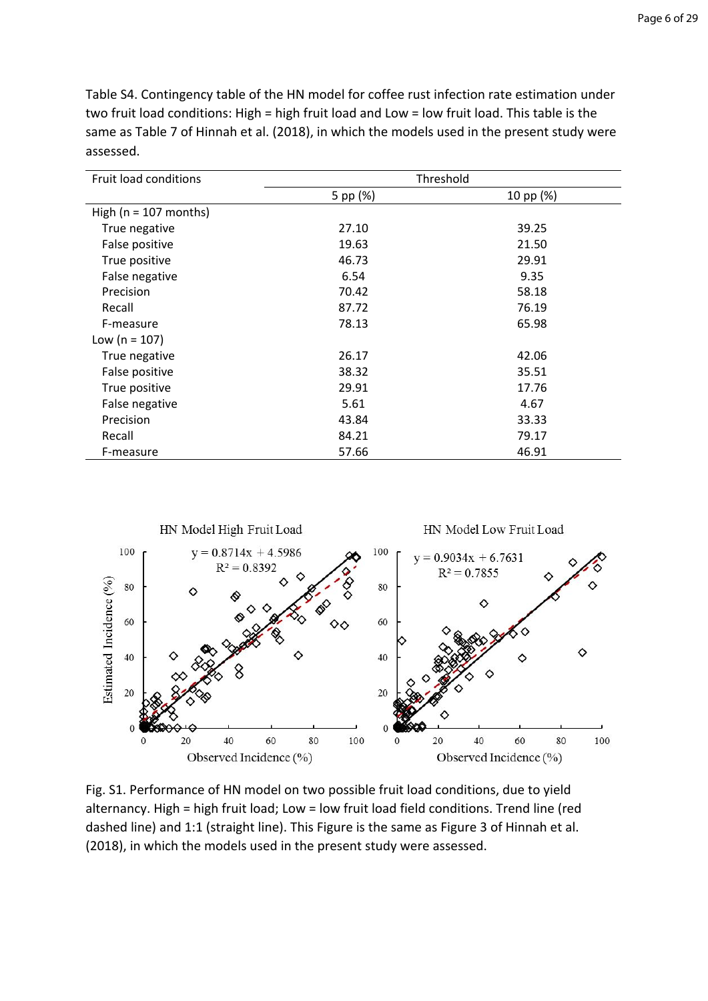Table S4. Contingency table of the HN model for coffee rust infection rate estimation under two fruit load conditions: High = high fruit load and Low = low fruit load. This table is the same as Table 7 of Hinnah et al. (2018), in which the models used in the present study were assessed.

| Fruit load conditions    | Threshold |           |  |
|--------------------------|-----------|-----------|--|
|                          | 5 pp (%)  | 10 pp (%) |  |
| High ( $n = 107$ months) |           |           |  |
| True negative            | 27.10     | 39.25     |  |
| False positive           | 19.63     | 21.50     |  |
| True positive            | 46.73     | 29.91     |  |
| False negative           | 6.54      | 9.35      |  |
| Precision                | 70.42     | 58.18     |  |
| Recall                   | 87.72     | 76.19     |  |
| F-measure                | 78.13     | 65.98     |  |
| Low ( $n = 107$ )        |           |           |  |
| True negative            | 26.17     | 42.06     |  |
| False positive           | 38.32     | 35.51     |  |
| True positive            | 29.91     | 17.76     |  |
| False negative           | 5.61      | 4.67      |  |
| Precision                | 43.84     | 33.33     |  |
| Recall                   | 84.21     | 79.17     |  |
| F-measure                | 57.66     | 46.91     |  |



Fig. S1. Performance of HN model on two possible fruit load conditions, due to yield alternancy. High = high fruit load; Low = low fruit load field conditions. Trend line (red dashed line) and 1:1 (straight line). This Figure is the same as Figure 3 of Hinnah et al. (2018), in which the models used in the present study were assessed.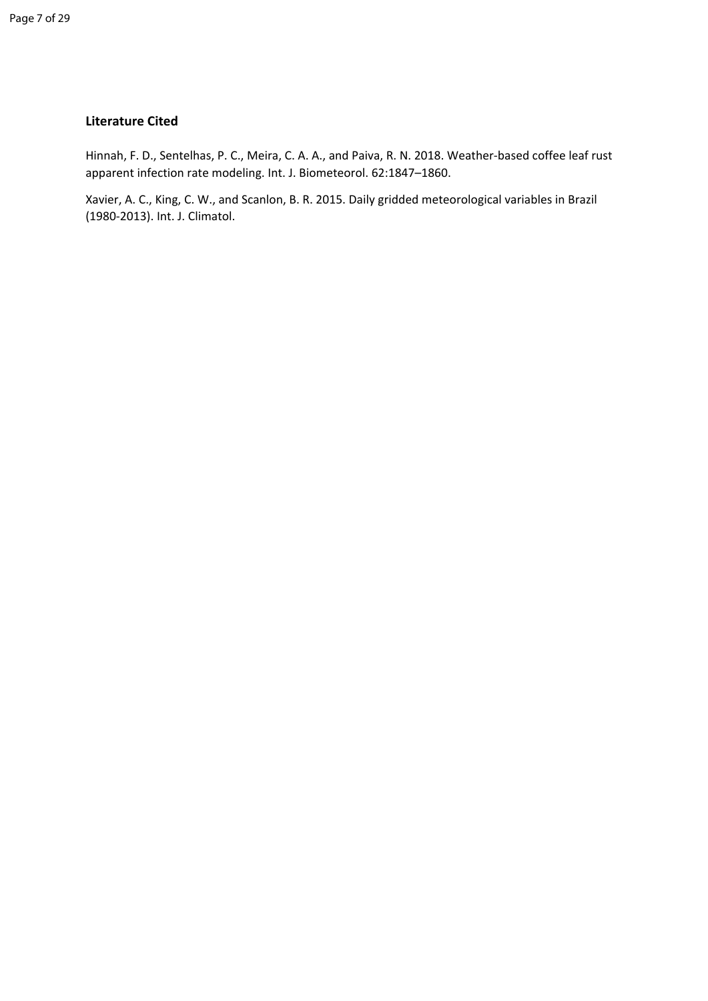#### **Literature Cited**

Hinnah, F. D., Sentelhas, P. C., Meira, C. A. A., and Paiva, R. N. 2018. Weather-based coffee leaf rust apparent infection rate modeling. Int. J. Biometeorol. 62:1847–1860.

Xavier, A. C., King, C. W., and Scanlon, B. R. 2015. Daily gridded meteorological variables in Brazil (1980-2013). Int. J. Climatol.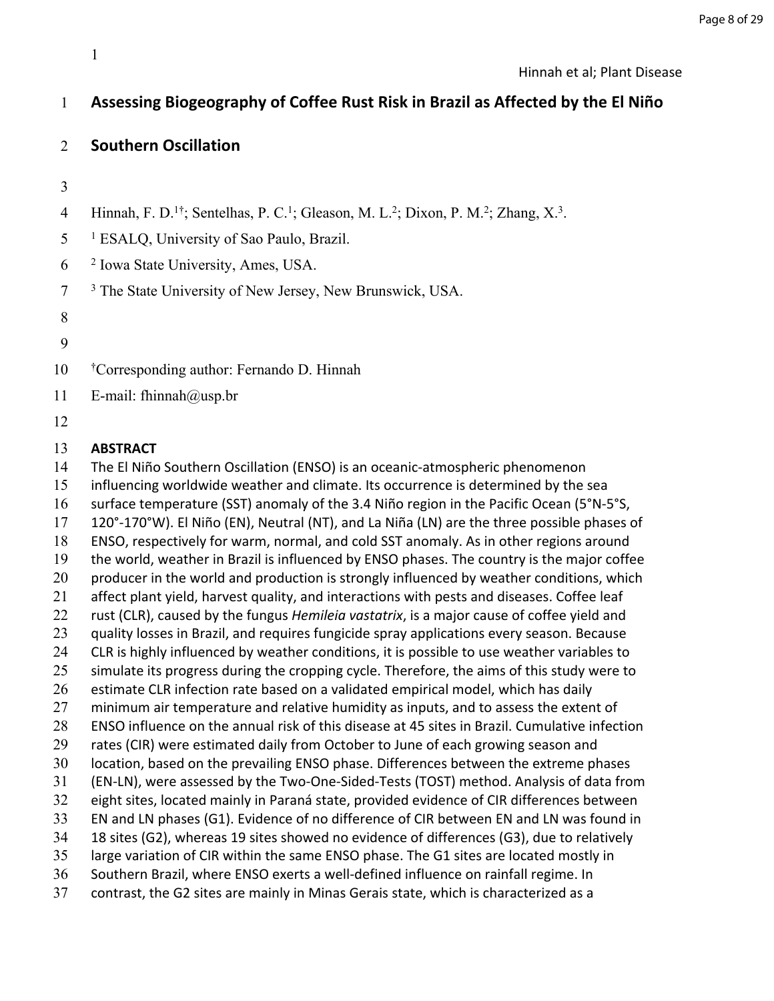## **Assessing Biogeography of Coffee Rust Risk in Brazil as Affected by the El Niño**

#### **Southern Oscillation**

4 Hinnah, F. D.<sup>1†</sup>; Sentelhas, P. C.<sup>1</sup>; Gleason, M. L.<sup>2</sup>; Dixon, P. M.<sup>2</sup>; Zhang, X.<sup>3</sup>.

 <sup>1</sup> ESALQ, University of Sao Paulo, Brazil.

 Iowa State University, Ames, USA.

 <sup>3</sup> The State University of New Jersey, New Brunswick, USA.

- †Corresponding author: Fernando D. Hinnah
- 11 E-mail: fhinnah@usp.br
- 

#### **ABSTRACT**

The El Niño Southern Oscillation (ENSO) is an oceanic-atmospheric phenomenon

influencing worldwide weather and climate. Its occurrence is determined by the sea

surface temperature (SST) anomaly of the 3.4 Niño region in the Pacific Ocean (5°N-5°S,

120°-170°W). El Niño (EN), Neutral (NT), and La Niña (LN) are the three possible phases of

ENSO, respectively for warm, normal, and cold SST anomaly. As in other regions around

the world, weather in Brazil is influenced by ENSO phases. The country is the major coffee

 producer in the world and production is strongly influenced by weather conditions, which affect plant yield, harvest quality, and interactions with pests and diseases. Coffee leaf

rust (CLR), caused by the fungus *Hemileia vastatrix*, is a major cause of coffee yield and

- 23 quality losses in Brazil, and requires fungicide spray applications every season. Because
- 24 CLR is highly influenced by weather conditions, it is possible to use weather variables to
- 25 simulate its progress during the cropping cycle. Therefore, the aims of this study were to
- estimate CLR infection rate based on a validated empirical model, which has daily
- minimum air temperature and relative humidity as inputs, and to assess the extent of
- ENSO influence on the annual risk of this disease at 45 sites in Brazil. Cumulative infection
- rates (CIR) were estimated daily from October to June of each growing season and
- location, based on the prevailing ENSO phase. Differences between the extreme phases
- (EN-LN), were assessed by the Two-One-Sided-Tests (TOST) method. Analysis of data from
- eight sites, located mainly in Paraná state, provided evidence of CIR differences between
- EN and LN phases (G1). Evidence of no difference of CIR between EN and LN was found in
- 18 sites (G2), whereas 19 sites showed no evidence of differences (G3), due to relatively
- large variation of CIR within the same ENSO phase. The G1 sites are located mostly in
- Southern Brazil, where ENSO exerts a well-defined influence on rainfall regime. In
- contrast, the G2 sites are mainly in Minas Gerais state, which is characterized as a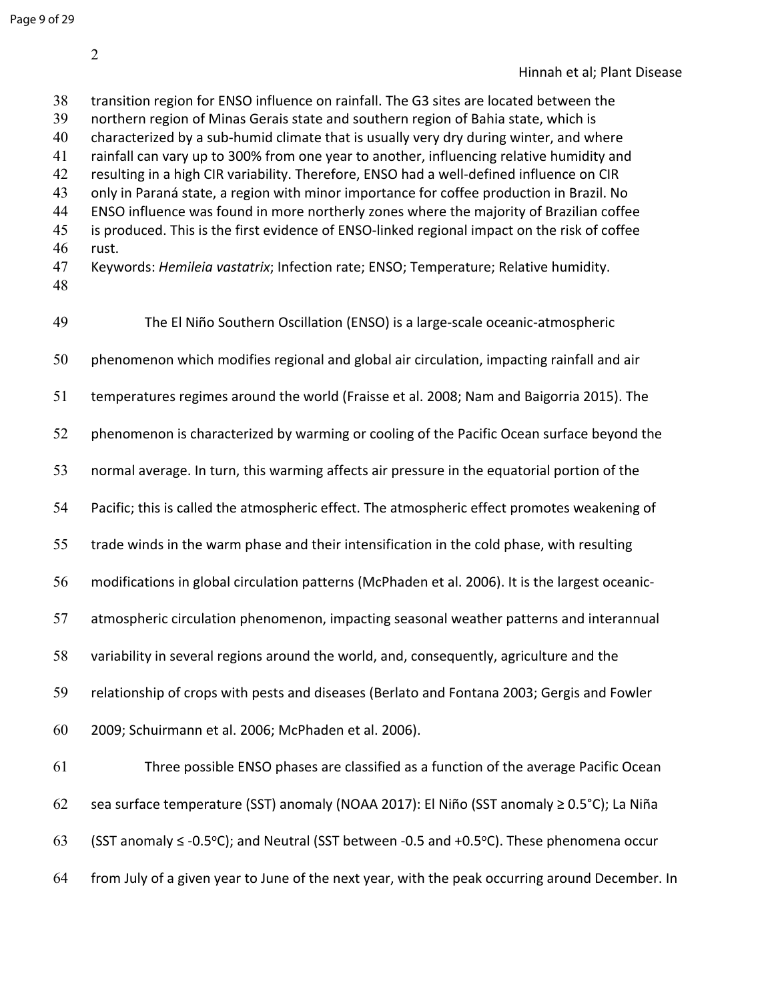transition region for ENSO influence on rainfall. The G3 sites are located between the northern region of Minas Gerais state and southern region of Bahia state, which is characterized by a sub-humid climate that is usually very dry during winter, and where rainfall can vary up to 300% from one year to another, influencing relative humidity and resulting in a high CIR variability. Therefore, ENSO had a well-defined influence on CIR only in Paraná state, a region with minor importance for coffee production in Brazil. No ENSO influence was found in more northerly zones where the majority of Brazilian coffee is produced. This is the first evidence of ENSO-linked regional impact on the risk of coffee rust. Keywords: *Hemileia vastatrix*; Infection rate; ENSO; Temperature; Relative humidity. The El Niño Southern Oscillation (ENSO) is a large-scale oceanic-atmospheric phenomenon which modifies regional and global air circulation, impacting rainfall and air temperatures regimes around the world (Fraisse et al. 2008; Nam and Baigorria 2015). The 52 phenomenon is characterized by warming or cooling of the Pacific Ocean surface beyond the normal average. In turn, this warming affects air pressure in the equatorial portion of the Pacific; this is called the atmospheric effect. The atmospheric effect promotes weakening of trade winds in the warm phase and their intensification in the cold phase, with resulting modifications in global circulation patterns (McPhaden et al. 2006). It is the largest oceanic- atmospheric circulation phenomenon, impacting seasonal weather patterns and interannual variability in several regions around the world, and, consequently, agriculture and the relationship of crops with pests and diseases (Berlato and Fontana 2003; Gergis and Fowler 2009; Schuirmann et al. 2006; McPhaden et al. 2006). Three possible ENSO phases are classified as a function of the average Pacific Ocean sea surface temperature (SST) anomaly (NOAA 2017): El Niño (SST anomaly ≥ 0.5°C); La Niña 63 (SST anomaly  $\leq$  -0.5°C); and Neutral (SST between -0.5 and +0.5°C). These phenomena occur from July of a given year to June of the next year, with the peak occurring around December. In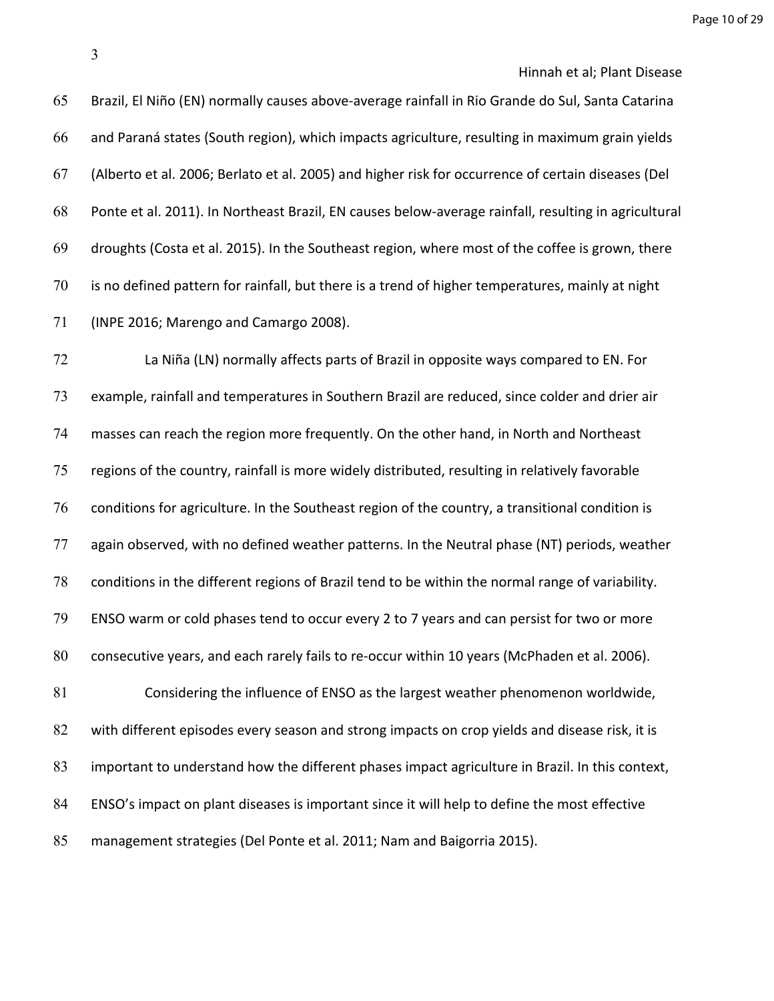Brazil, El Niño (EN) normally causes above-average rainfall in Rio Grande do Sul, Santa Catarina and Paraná states (South region), which impacts agriculture, resulting in maximum grain yields (Alberto et al. 2006; Berlato et al. 2005) and higher risk for occurrence of certain diseases (Del Ponte et al. 2011). In Northeast Brazil, EN causes below-average rainfall, resulting in agricultural droughts (Costa et al. 2015). In the Southeast region, where most of the coffee is grown, there is no defined pattern for rainfall, but there is a trend of higher temperatures, mainly at night (INPE 2016; Marengo and Camargo 2008).

 La Niña (LN) normally affects parts of Brazil in opposite ways compared to EN. For example, rainfall and temperatures in Southern Brazil are reduced, since colder and drier air masses can reach the region more frequently. On the other hand, in North and Northeast regions of the country, rainfall is more widely distributed, resulting in relatively favorable conditions for agriculture. In the Southeast region of the country, a transitional condition is again observed, with no defined weather patterns. In the Neutral phase (NT) periods, weather conditions in the different regions of Brazil tend to be within the normal range of variability. ENSO warm or cold phases tend to occur every 2 to 7 years and can persist for two or more consecutive years, and each rarely fails to re-occur within 10 years (McPhaden et al. 2006). Considering the influence of ENSO as the largest weather phenomenon worldwide, 82 with different episodes every season and strong impacts on crop yields and disease risk, it is important to understand how the different phases impact agriculture in Brazil. In this context, ENSO's impact on plant diseases is important since it will help to define the most effective management strategies (Del Ponte et al. 2011; Nam and Baigorria 2015).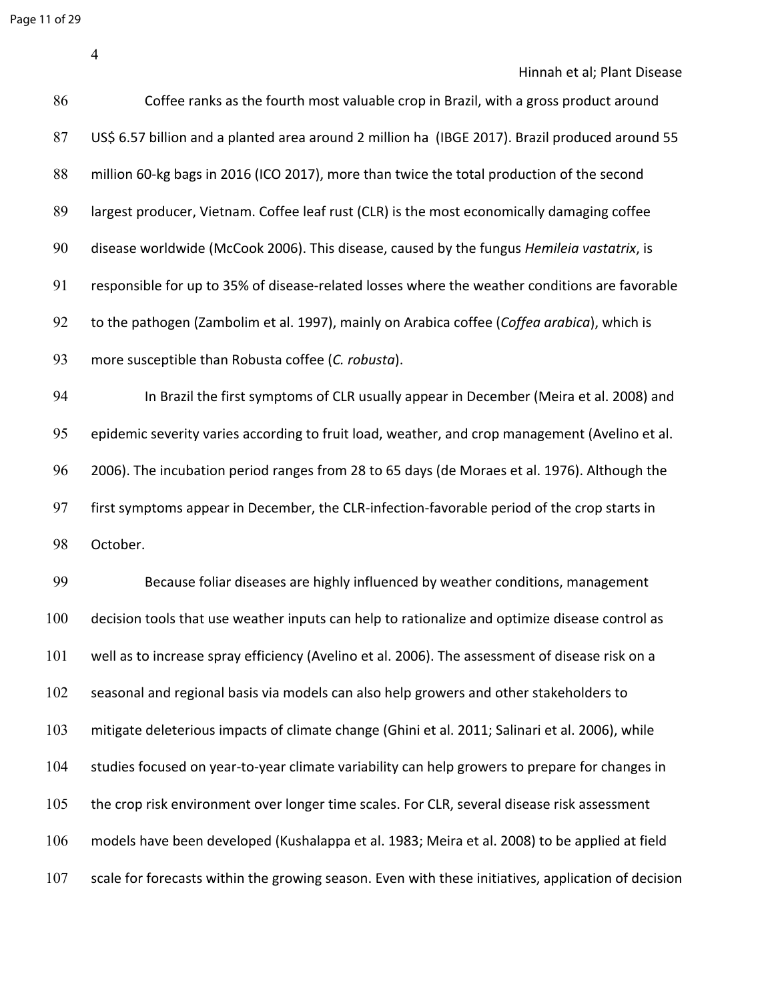Page 11 of 29

Hinnah et al; Plant Disease

| 86  | Coffee ranks as the fourth most valuable crop in Brazil, with a gross product around                |
|-----|-----------------------------------------------------------------------------------------------------|
| 87  | US\$ 6.57 billion and a planted area around 2 million ha (IBGE 2017). Brazil produced around 55     |
| 88  | million 60-kg bags in 2016 (ICO 2017), more than twice the total production of the second           |
| 89  | largest producer, Vietnam. Coffee leaf rust (CLR) is the most economically damaging coffee          |
| 90  | disease worldwide (McCook 2006). This disease, caused by the fungus Hemileia vastatrix, is          |
| 91  | responsible for up to 35% of disease-related losses where the weather conditions are favorable      |
| 92  | to the pathogen (Zambolim et al. 1997), mainly on Arabica coffee (Coffea arabica), which is         |
| 93  | more susceptible than Robusta coffee (C. robusta).                                                  |
| 94  | In Brazil the first symptoms of CLR usually appear in December (Meira et al. 2008) and              |
| 95  | epidemic severity varies according to fruit load, weather, and crop management (Avelino et al.      |
| 96  | 2006). The incubation period ranges from 28 to 65 days (de Moraes et al. 1976). Although the        |
| 97  | first symptoms appear in December, the CLR-infection-favorable period of the crop starts in         |
| 98  | October.                                                                                            |
| 99  | Because foliar diseases are highly influenced by weather conditions, management                     |
| 100 | decision tools that use weather inputs can help to rationalize and optimize disease control as      |
| 101 | well as to increase spray efficiency (Avelino et al. 2006). The assessment of disease risk on a     |
| 102 | seasonal and regional basis via models can also help growers and other stakeholders to              |
| 103 | mitigate deleterious impacts of climate change (Ghini et al. 2011; Salinari et al. 2006), while     |
| 104 | studies focused on year-to-year climate variability can help growers to prepare for changes in      |
| 105 | the crop risk environment over longer time scales. For CLR, several disease risk assessment         |
| 106 | models have been developed (Kushalappa et al. 1983; Meira et al. 2008) to be applied at field       |
| 107 | scale for forecasts within the growing season. Even with these initiatives, application of decision |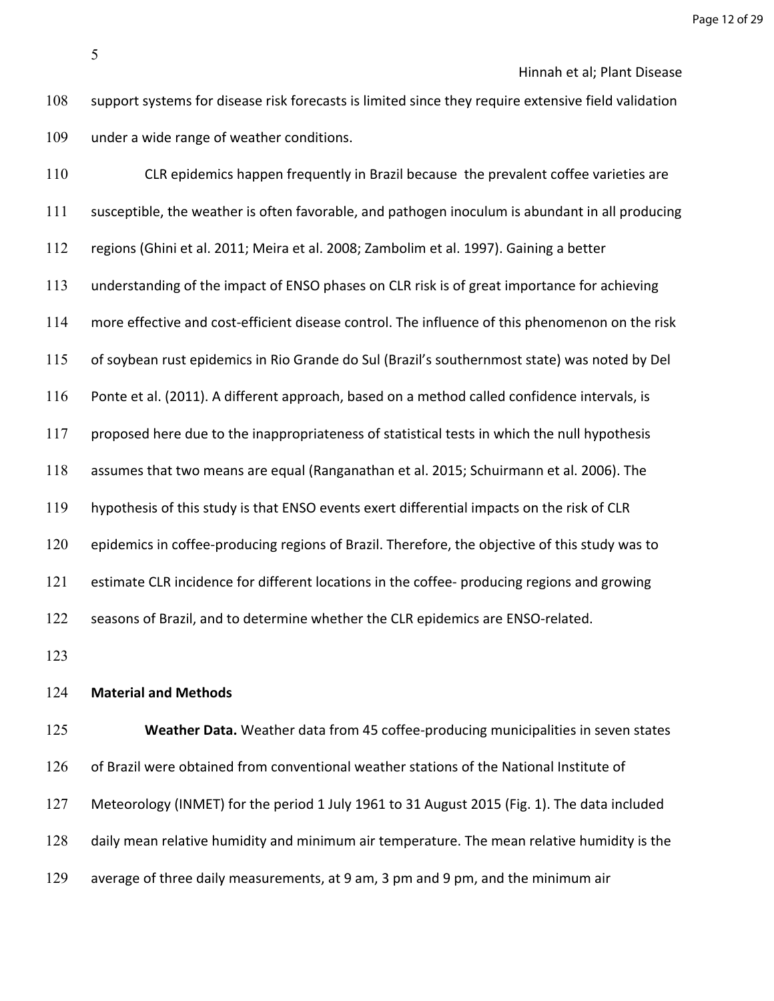CLR epidemics happen frequently in Brazil because the prevalent coffee varieties are susceptible, the weather is often favorable, and pathogen inoculum is abundant in all producing regions (Ghini et al. 2011; Meira et al. 2008; Zambolim et al. 1997). Gaining a better understanding of the impact of ENSO phases on CLR risk is of great importance for achieving more effective and cost-efficient disease control. The influence of this phenomenon on the risk of soybean rust epidemics in Rio Grande do Sul (Brazil's southernmost state) was noted by Del Ponte et al. (2011). A different approach, based on a method called confidence intervals, is 117 proposed here due to the inappropriateness of statistical tests in which the null hypothesis assumes that two means are equal (Ranganathan et al. 2015; Schuirmann et al. 2006). The hypothesis of this study is that ENSO events exert differential impacts on the risk of CLR 120 epidemics in coffee-producing regions of Brazil. Therefore, the objective of this study was to 121 estimate CLR incidence for different locations in the coffee- producing regions and growing seasons of Brazil, and to determine whether the CLR epidemics are ENSO-related. 

#### **Material and Methods**

 **Weather Data.** Weather data from 45 coffee-producing municipalities in seven states of Brazil were obtained from conventional weather stations of the National Institute of Meteorology (INMET) for the period 1 July 1961 to 31 August 2015 (Fig. 1). The data included daily mean relative humidity and minimum air temperature. The mean relative humidity is the average of three daily measurements, at 9 am, 3 pm and 9 pm, and the minimum air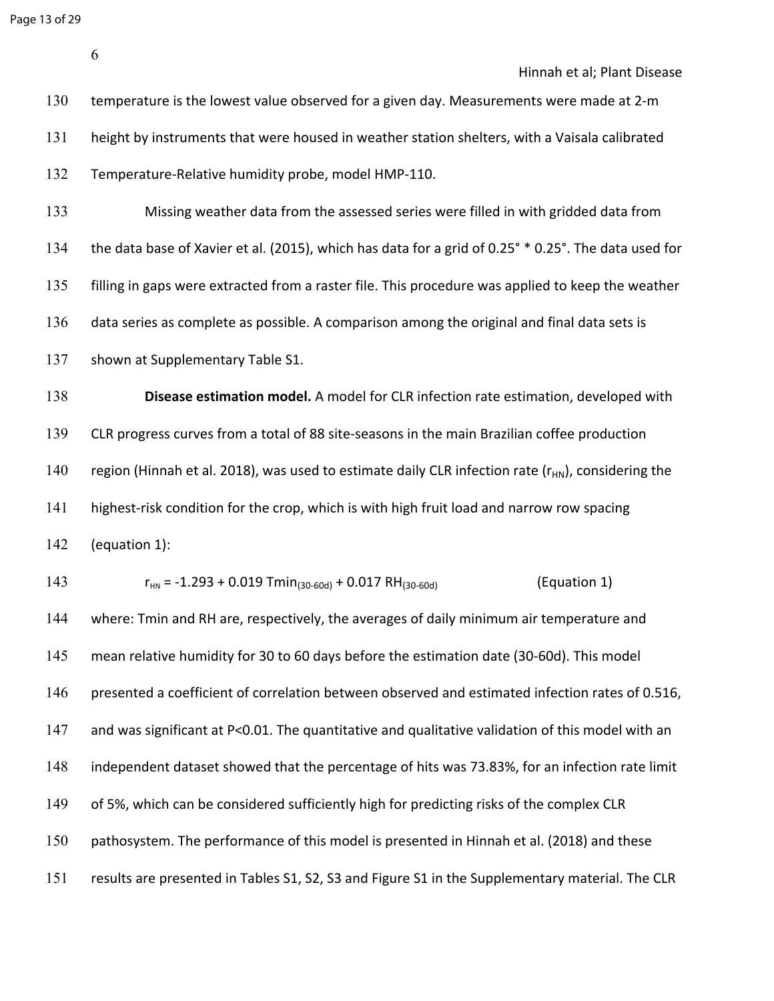Page 13 of 29

Hinnah et al; Plant Disease

| 130 | temperature is the lowest value observed for a given day. Measurements were made at 2-m                  |
|-----|----------------------------------------------------------------------------------------------------------|
| 131 | height by instruments that were housed in weather station shelters, with a Vaisala calibrated            |
| 132 | Temperature-Relative humidity probe, model HMP-110.                                                      |
| 133 | Missing weather data from the assessed series were filled in with gridded data from                      |
| 134 | the data base of Xavier et al. (2015), which has data for a grid of 0.25° * 0.25°. The data used for     |
| 135 | filling in gaps were extracted from a raster file. This procedure was applied to keep the weather        |
| 136 | data series as complete as possible. A comparison among the original and final data sets is              |
| 137 | shown at Supplementary Table S1.                                                                         |
| 138 | Disease estimation model. A model for CLR infection rate estimation, developed with                      |
| 139 | CLR progress curves from a total of 88 site-seasons in the main Brazilian coffee production              |
| 140 | region (Hinnah et al. 2018), was used to estimate daily CLR infection rate ( $r_{HN}$ ), considering the |
| 141 | highest-risk condition for the crop, which is with high fruit load and narrow row spacing                |
| 142 | (equation 1):                                                                                            |
| 143 | (Equation 1)<br>$r_{HN}$ = -1.293 + 0.019 Tmin <sub>(30-60d)</sub> + 0.017 RH <sub>(30-60d)</sub>        |
| 144 | where: Tmin and RH are, respectively, the averages of daily minimum air temperature and                  |
| 145 | mean relative humidity for 30 to 60 days before the estimation date (30-60d). This model                 |
| 146 | presented a coefficient of correlation between observed and estimated infection rates of 0.516,          |
| 147 | and was significant at P<0.01. The quantitative and qualitative validation of this model with an         |
| 148 | independent dataset showed that the percentage of hits was 73.83%, for an infection rate limit           |
| 149 | of 5%, which can be considered sufficiently high for predicting risks of the complex CLR                 |
| 150 | pathosystem. The performance of this model is presented in Hinnah et al. (2018) and these                |
| 151 | results are presented in Tables S1, S2, S3 and Figure S1 in the Supplementary material. The CLR          |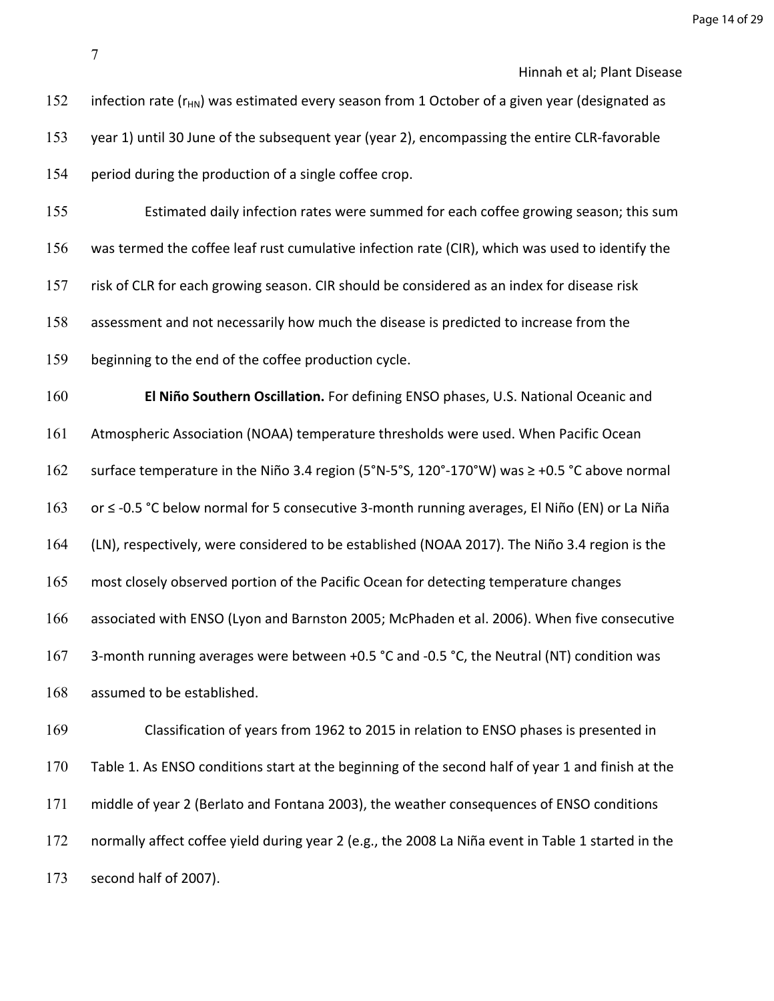Page 14 of 29

Hinnah et al; Plant Disease

152 infection rate ( $r_{HN}$ ) was estimated every season from 1 October of a given year (designated as year 1) until 30 June of the subsequent year (year 2), encompassing the entire CLR-favorable period during the production of a single coffee crop. Estimated daily infection rates were summed for each coffee growing season; this sum was termed the coffee leaf rust cumulative infection rate (CIR), which was used to identify the risk of CLR for each growing season. CIR should be considered as an index for disease risk assessment and not necessarily how much the disease is predicted to increase from the beginning to the end of the coffee production cycle. **El Niño Southern Oscillation.** For defining ENSO phases, U.S. National Oceanic and Atmospheric Association (NOAA) temperature thresholds were used. When Pacific Ocean surface temperature in the Niño 3.4 region (5°N-5°S, 120°-170°W) was ≥ +0.5 °C above normal or ≤ -0.5 °C below normal for 5 consecutive 3-month running averages, El Niño (EN) or La Niña (LN), respectively, were considered to be established (NOAA 2017). The Niño 3.4 region is the 165 most closely observed portion of the Pacific Ocean for detecting temperature changes associated with ENSO (Lyon and Barnston 2005; McPhaden et al. 2006). When five consecutive 167 3-month running averages were between +0.5 °C and -0.5 °C, the Neutral (NT) condition was assumed to be established. Classification of years from 1962 to 2015 in relation to ENSO phases is presented in Table 1. As ENSO conditions start at the beginning of the second half of year 1 and finish at the middle of year 2 (Berlato and Fontana 2003), the weather consequences of ENSO conditions normally affect coffee yield during year 2 (e.g., the 2008 La Niña event in Table 1 started in the second half of 2007).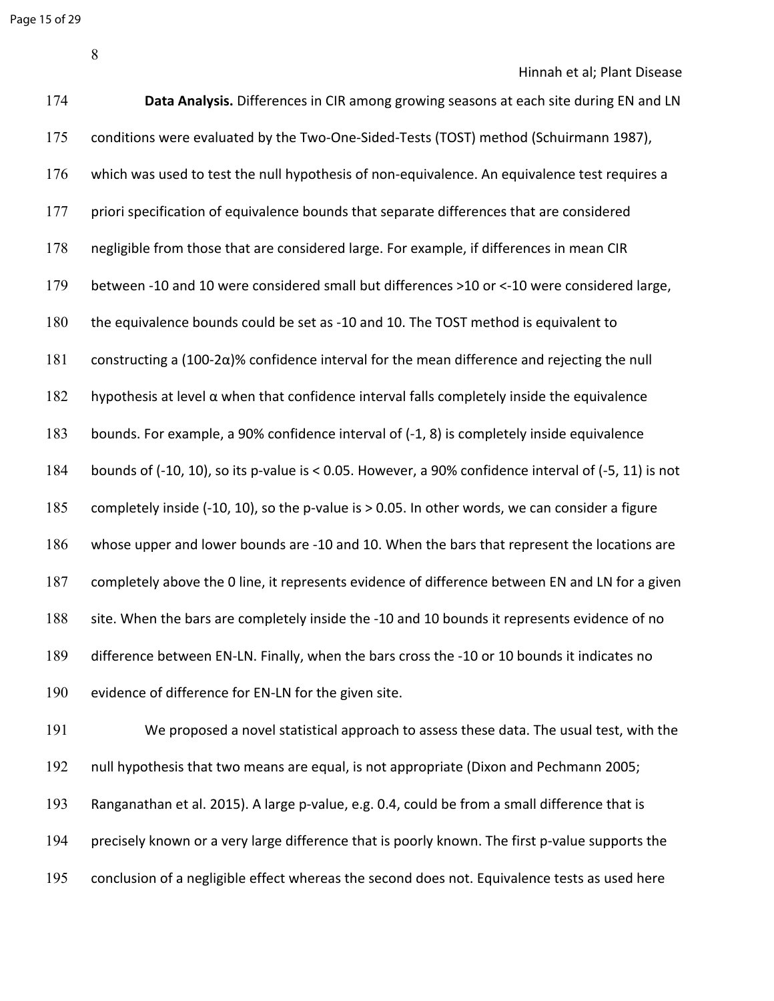Page 15 of 29

Hinnah et al; Plant Disease

| 174 | Data Analysis. Differences in CIR among growing seasons at each site during EN and LN                |
|-----|------------------------------------------------------------------------------------------------------|
| 175 | conditions were evaluated by the Two-One-Sided-Tests (TOST) method (Schuirmann 1987),                |
| 176 | which was used to test the null hypothesis of non-equivalence. An equivalence test requires a        |
| 177 | priori specification of equivalence bounds that separate differences that are considered             |
| 178 | negligible from those that are considered large. For example, if differences in mean CIR             |
| 179 | between -10 and 10 were considered small but differences >10 or <-10 were considered large,          |
| 180 | the equivalence bounds could be set as -10 and 10. The TOST method is equivalent to                  |
| 181 | constructing a $(100-2\alpha)$ % confidence interval for the mean difference and rejecting the null  |
| 182 | hypothesis at level $\alpha$ when that confidence interval falls completely inside the equivalence   |
| 183 | bounds. For example, a 90% confidence interval of (-1, 8) is completely inside equivalence           |
| 184 | bounds of (-10, 10), so its p-value is < 0.05. However, a 90% confidence interval of (-5, 11) is not |
| 185 | completely inside (-10, 10), so the p-value is > 0.05. In other words, we can consider a figure      |
| 186 | whose upper and lower bounds are -10 and 10. When the bars that represent the locations are          |
| 187 | completely above the 0 line, it represents evidence of difference between EN and LN for a given      |
| 188 | site. When the bars are completely inside the -10 and 10 bounds it represents evidence of no         |
| 189 | difference between EN-LN. Finally, when the bars cross the -10 or 10 bounds it indicates no          |
| 190 | evidence of difference for EN-LN for the given site.                                                 |
| 191 | We proposed a novel statistical approach to assess these data. The usual test, with the              |

null hypothesis that two means are equal, is not appropriate (Dixon and Pechmann 2005;

Ranganathan et al. 2015). A large p-value, e.g. 0.4, could be from a small difference that is

precisely known or a very large difference that is poorly known. The first p-value supports the

conclusion of a negligible effect whereas the second does not. Equivalence tests as used here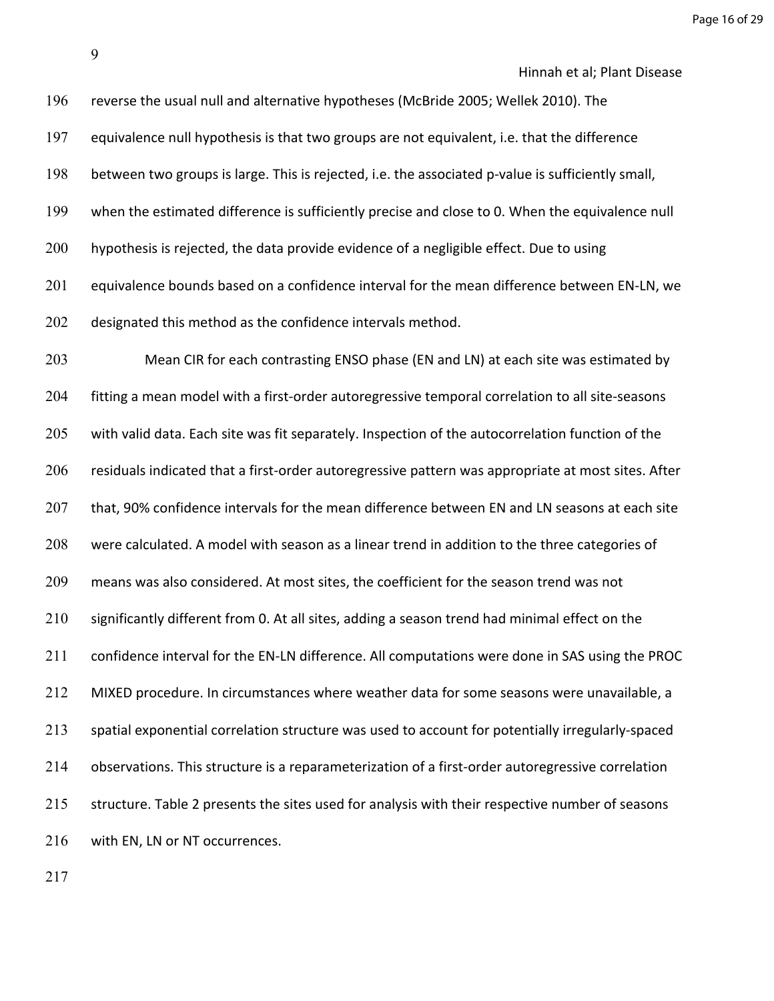Page 16 of 29

Hinnah et al; Plant Disease

 reverse the usual null and alternative hypotheses (McBride 2005; Wellek 2010). The equivalence null hypothesis is that two groups are not equivalent, i.e. that the difference between two groups is large. This is rejected, i.e. the associated p-value is sufficiently small, when the estimated difference is sufficiently precise and close to 0. When the equivalence null hypothesis is rejected, the data provide evidence of a negligible effect. Due to using equivalence bounds based on a confidence interval for the mean difference between EN-LN, we 202 designated this method as the confidence intervals method. Mean CIR for each contrasting ENSO phase (EN and LN) at each site was estimated by fitting a mean model with a first-order autoregressive temporal correlation to all site-seasons 205 with valid data. Each site was fit separately. Inspection of the autocorrelation function of the residuals indicated that a first-order autoregressive pattern was appropriate at most sites. After 207 that, 90% confidence intervals for the mean difference between EN and LN seasons at each site were calculated. A model with season as a linear trend in addition to the three categories of means was also considered. At most sites, the coefficient for the season trend was not significantly different from 0. At all sites, adding a season trend had minimal effect on the confidence interval for the EN-LN difference. All computations were done in SAS using the PROC MIXED procedure. In circumstances where weather data for some seasons were unavailable, a spatial exponential correlation structure was used to account for potentially irregularly-spaced observations. This structure is a reparameterization of a first-order autoregressive correlation

215 structure. Table 2 presents the sites used for analysis with their respective number of seasons 216 with EN, LN or NT occurrences.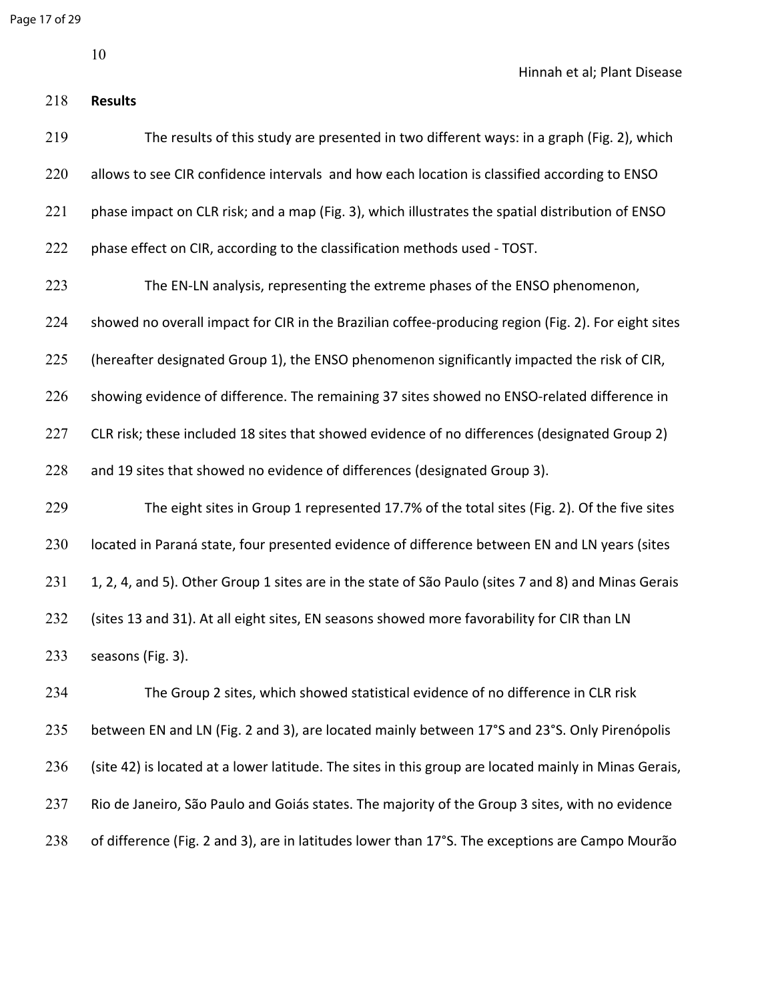Page 17 of 29

**Results**

Hinnah et al; Plant Disease

| 219 | The results of this study are presented in two different ways: in a graph (Fig. 2), which             |
|-----|-------------------------------------------------------------------------------------------------------|
| 220 | allows to see CIR confidence intervals and how each location is classified according to ENSO          |
| 221 | phase impact on CLR risk; and a map (Fig. 3), which illustrates the spatial distribution of ENSO      |
| 222 | phase effect on CIR, according to the classification methods used - TOST.                             |
| 223 | The EN-LN analysis, representing the extreme phases of the ENSO phenomenon,                           |
| 224 | showed no overall impact for CIR in the Brazilian coffee-producing region (Fig. 2). For eight sites   |
| 225 | (hereafter designated Group 1), the ENSO phenomenon significantly impacted the risk of CIR,           |
| 226 | showing evidence of difference. The remaining 37 sites showed no ENSO-related difference in           |
| 227 | CLR risk; these included 18 sites that showed evidence of no differences (designated Group 2)         |
| 228 | and 19 sites that showed no evidence of differences (designated Group 3).                             |
| 229 | The eight sites in Group 1 represented 17.7% of the total sites (Fig. 2). Of the five sites           |
| 230 | located in Paraná state, four presented evidence of difference between EN and LN years (sites         |
| 231 | 1, 2, 4, and 5). Other Group 1 sites are in the state of São Paulo (sites 7 and 8) and Minas Gerais   |
| 232 | (sites 13 and 31). At all eight sites, EN seasons showed more favorability for CIR than LN            |
| 233 | seasons (Fig. 3).                                                                                     |
| 234 | The Group 2 sites, which showed statistical evidence of no difference in CLR risk                     |
| 235 | between EN and LN (Fig. 2 and 3), are located mainly between 17°S and 23°S. Only Pirenópolis          |
| 236 | (site 42) is located at a lower latitude. The sites in this group are located mainly in Minas Gerais, |

of difference (Fig. 2 and 3), are in latitudes lower than 17°S. The exceptions are Campo Mourão

Rio de Janeiro, São Paulo and Goiás states. The majority of the Group 3 sites, with no evidence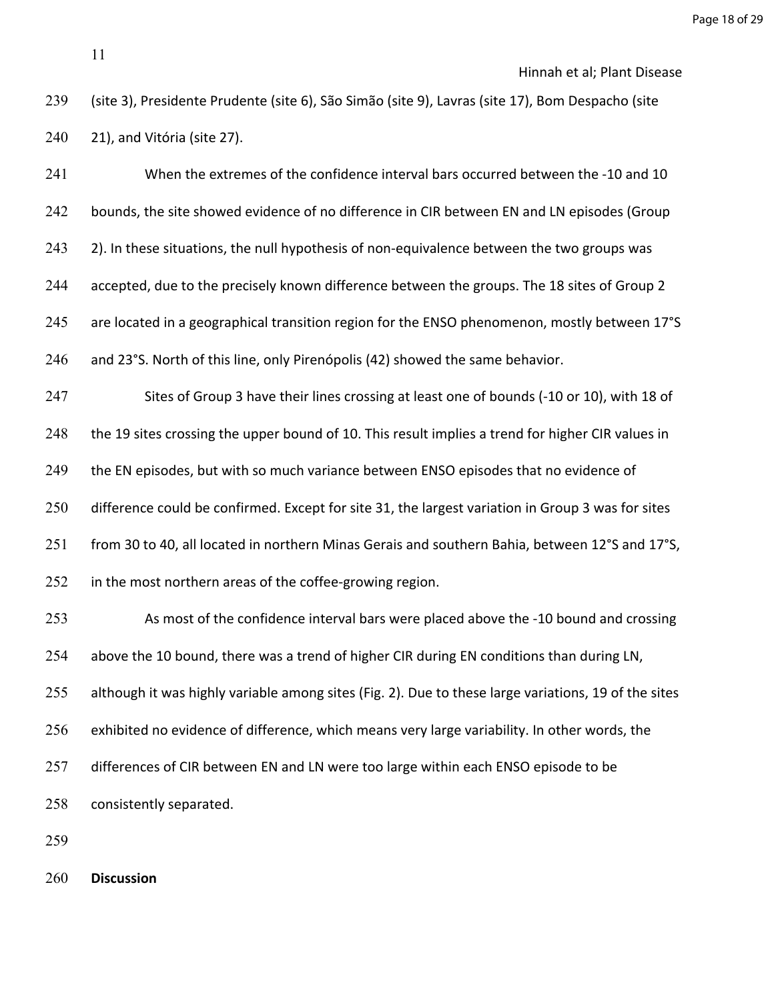When the extremes of the confidence interval bars occurred between the -10 and 10 242 bounds, the site showed evidence of no difference in CIR between EN and LN episodes (Group 243 2). In these situations, the null hypothesis of non-equivalence between the two groups was accepted, due to the precisely known difference between the groups. The 18 sites of Group 2 245 are located in a geographical transition region for the ENSO phenomenon, mostly between 17°S and 23°S. North of this line, only Pirenópolis (42) showed the same behavior. Sites of Group 3 have their lines crossing at least one of bounds (-10 or 10), with 18 of 248 the 19 sites crossing the upper bound of 10. This result implies a trend for higher CIR values in the EN episodes, but with so much variance between ENSO episodes that no evidence of difference could be confirmed. Except for site 31, the largest variation in Group 3 was for sites from 30 to 40, all located in northern Minas Gerais and southern Bahia, between 12°S and 17°S, 252 in the most northern areas of the coffee-growing region. As most of the confidence interval bars were placed above the -10 bound and crossing 254 above the 10 bound, there was a trend of higher CIR during EN conditions than during LN, although it was highly variable among sites (Fig. 2). Due to these large variations, 19 of the sites exhibited no evidence of difference, which means very large variability. In other words, the 257 differences of CIR between EN and LN were too large within each ENSO episode to be consistently separated.

**Discussion**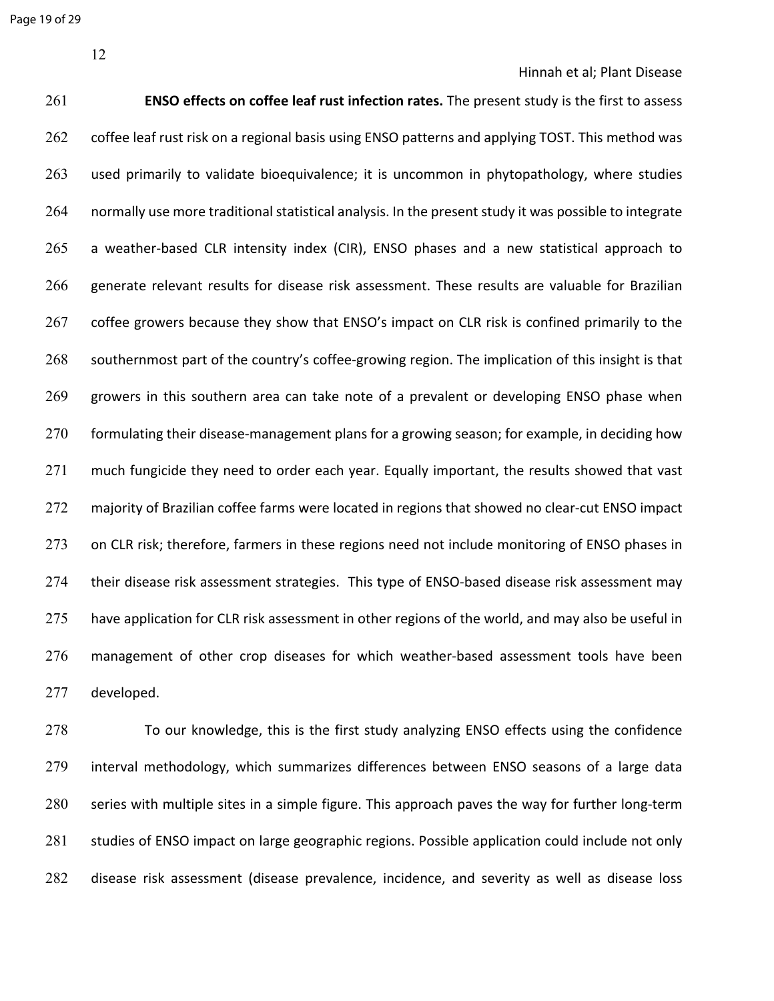Page 19 of 29

12

Hinnah et al; Plant Disease

261 **ENSO effects on coffee leaf rust infection rates.** The present study is the first to assess 262 coffee leaf rust risk on a regional basis using ENSO patterns and applying TOST. This method was 263 used primarily to validate bioequivalence; it is uncommon in phytopathology, where studies 264 normally use more traditional statistical analysis. In the present study it was possible to integrate 265 a weather-based CLR intensity index (CIR), ENSO phases and a new statistical approach to 266 generate relevant results for disease risk assessment. These results are valuable for Brazilian 267 coffee growers because they show that ENSO's impact on CLR risk is confined primarily to the 268 southernmost part of the country's coffee-growing region. The implication of this insight is that 269 growers in this southern area can take note of a prevalent or developing ENSO phase when 270 formulating their disease-management plans for a growing season; for example, in deciding how 271 much fungicide they need to order each year. Equally important, the results showed that vast 272 majority of Brazilian coffee farms were located in regions that showed no clear-cut ENSO impact 273 on CLR risk; therefore, farmers in these regions need not include monitoring of ENSO phases in 274 their disease risk assessment strategies. This type of ENSO-based disease risk assessment may 275 have application for CLR risk assessment in other regions of the world, and may also be useful in 276 management of other crop diseases for which weather-based assessment tools have been 277 developed.

278 To our knowledge, this is the first study analyzing ENSO effects using the confidence 279 interval methodology, which summarizes differences between ENSO seasons of a large data 280 series with multiple sites in a simple figure. This approach paves the way for further long-term 281 studies of ENSO impact on large geographic regions. Possible application could include not only 282 disease risk assessment (disease prevalence, incidence, and severity as well as disease loss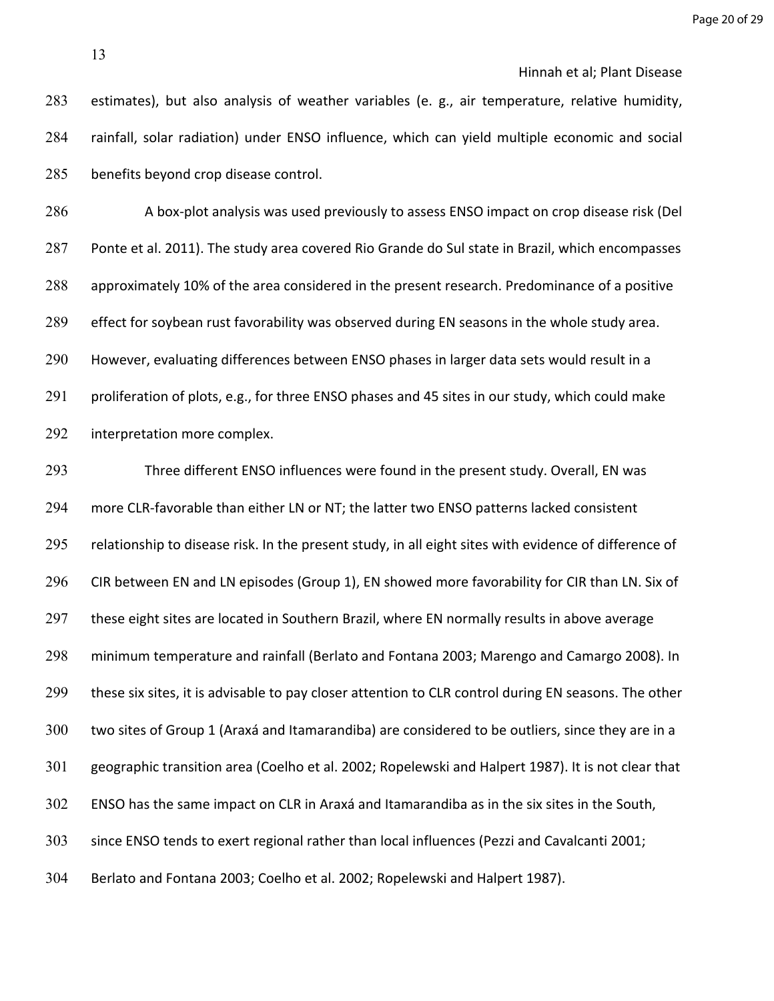estimates), but also analysis of weather variables (e. g., air temperature, relative humidity, rainfall, solar radiation) under ENSO influence, which can yield multiple economic and social benefits beyond crop disease control.

286 A box-plot analysis was used previously to assess ENSO impact on crop disease risk (Del Ponte et al. 2011). The study area covered Rio Grande do Sul state in Brazil, which encompasses approximately 10% of the area considered in the present research. Predominance of a positive effect for soybean rust favorability was observed during EN seasons in the whole study area. However, evaluating differences between ENSO phases in larger data sets would result in a 291 proliferation of plots, e.g., for three ENSO phases and 45 sites in our study, which could make interpretation more complex.

 Three different ENSO influences were found in the present study. Overall, EN was more CLR-favorable than either LN or NT; the latter two ENSO patterns lacked consistent 295 relationship to disease risk. In the present study, in all eight sites with evidence of difference of CIR between EN and LN episodes (Group 1), EN showed more favorability for CIR than LN. Six of 297 these eight sites are located in Southern Brazil, where EN normally results in above average minimum temperature and rainfall (Berlato and Fontana 2003; Marengo and Camargo 2008). In these six sites, it is advisable to pay closer attention to CLR control during EN seasons. The other two sites of Group 1 (Araxá and Itamarandiba) are considered to be outliers, since they are in a geographic transition area (Coelho et al. 2002; Ropelewski and Halpert 1987). It is not clear that ENSO has the same impact on CLR in Araxá and Itamarandiba as in the six sites in the South, since ENSO tends to exert regional rather than local influences (Pezzi and Cavalcanti 2001; Berlato and Fontana 2003; Coelho et al. 2002; Ropelewski and Halpert 1987).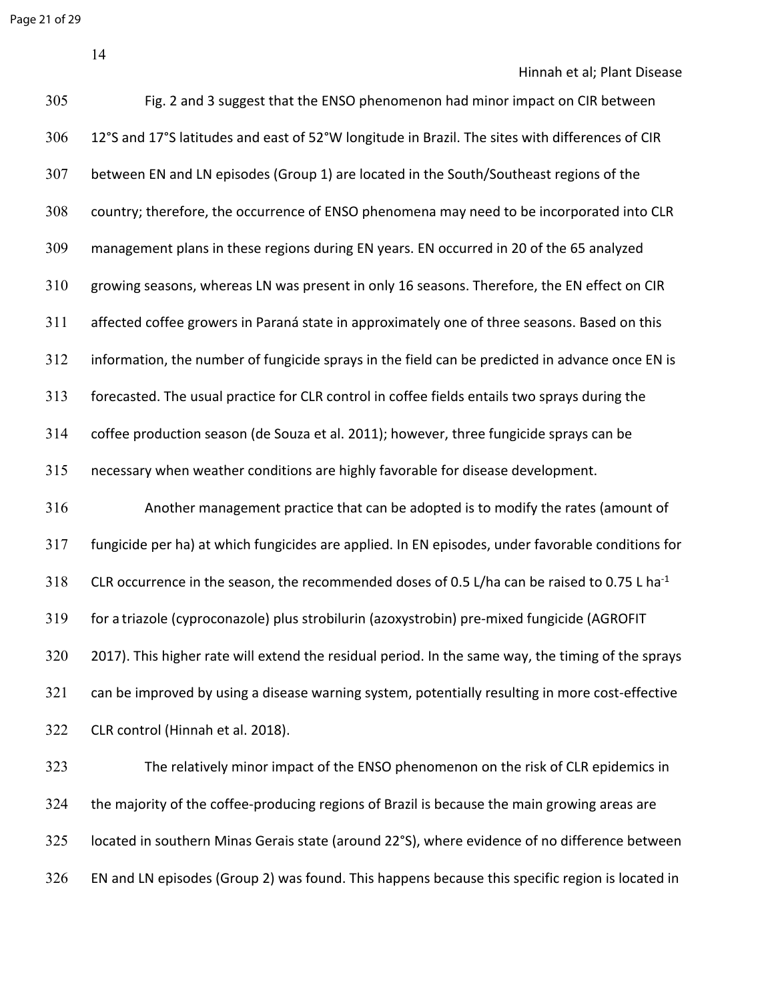Hinnah et al; Plant Disease

| 305 | Fig. 2 and 3 suggest that the ENSO phenomenon had minor impact on CIR between                            |
|-----|----------------------------------------------------------------------------------------------------------|
| 306 | 12°S and 17°S latitudes and east of 52°W longitude in Brazil. The sites with differences of CIR          |
| 307 | between EN and LN episodes (Group 1) are located in the South/Southeast regions of the                   |
| 308 | country; therefore, the occurrence of ENSO phenomena may need to be incorporated into CLR                |
| 309 | management plans in these regions during EN years. EN occurred in 20 of the 65 analyzed                  |
| 310 | growing seasons, whereas LN was present in only 16 seasons. Therefore, the EN effect on CIR              |
| 311 | affected coffee growers in Paraná state in approximately one of three seasons. Based on this             |
| 312 | information, the number of fungicide sprays in the field can be predicted in advance once EN is          |
| 313 | forecasted. The usual practice for CLR control in coffee fields entails two sprays during the            |
| 314 | coffee production season (de Souza et al. 2011); however, three fungicide sprays can be                  |
| 315 | necessary when weather conditions are highly favorable for disease development.                          |
| 316 | Another management practice that can be adopted is to modify the rates (amount of                        |
| 317 | fungicide per ha) at which fungicides are applied. In EN episodes, under favorable conditions for        |
| 318 | CLR occurrence in the season, the recommended doses of 0.5 L/ha can be raised to 0.75 L ha <sup>-1</sup> |
| 319 | for a triazole (cyproconazole) plus strobilurin (azoxystrobin) pre-mixed fungicide (AGROFIT              |
| 320 | 2017). This higher rate will extend the residual period. In the same way, the timing of the sprays       |
| 321 | can be improved by using a disease warning system, potentially resulting in more cost-effective          |
| 322 | CLR control (Hinnah et al. 2018).                                                                        |
| 323 | The relatively minor impact of the ENSO phenomenon on the risk of CLR epidemics in                       |
| 324 | the majority of the coffee-producing regions of Brazil is because the main growing areas are             |
| 325 | located in southern Minas Gerais state (around 22°S), where evidence of no difference between            |

EN and LN episodes (Group 2) was found. This happens because this specific region is located in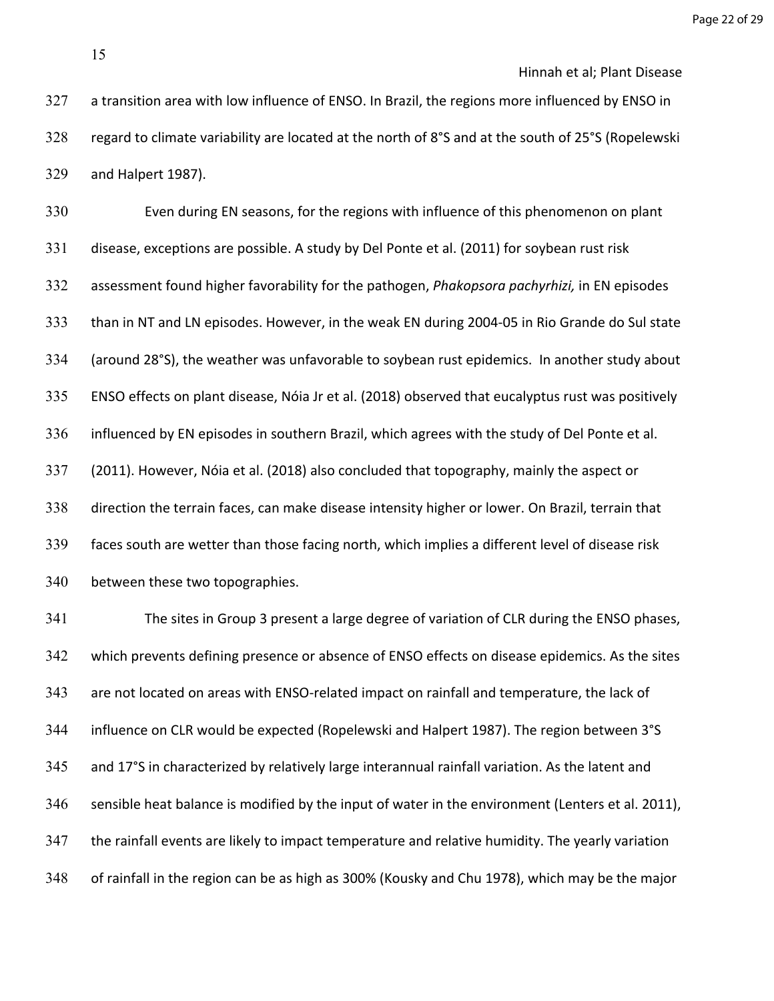Even during EN seasons, for the regions with influence of this phenomenon on plant disease, exceptions are possible. A study by Del Ponte et al. (2011) for soybean rust risk assessment found higher favorability for the pathogen, *Phakopsora pachyrhizi,* in EN episodes than in NT and LN episodes. However, in the weak EN during 2004-05 in Rio Grande do Sul state (around 28°S), the weather was unfavorable to soybean rust epidemics. In another study about ENSO effects on plant disease, Nóia Jr et al. (2018) observed that eucalyptus rust was positively influenced by EN episodes in southern Brazil, which agrees with the study of Del Ponte et al. (2011). However, Nóia et al. (2018) also concluded that topography, mainly the aspect or direction the terrain faces, can make disease intensity higher or lower. On Brazil, terrain that faces south are wetter than those facing north, which implies a different level of disease risk between these two topographies.

 The sites in Group 3 present a large degree of variation of CLR during the ENSO phases, which prevents defining presence or absence of ENSO effects on disease epidemics. As the sites 343 are not located on areas with ENSO-related impact on rainfall and temperature, the lack of influence on CLR would be expected (Ropelewski and Halpert 1987). The region between 3°S and 17°S in characterized by relatively large interannual rainfall variation. As the latent and sensible heat balance is modified by the input of water in the environment (Lenters et al. 2011), the rainfall events are likely to impact temperature and relative humidity. The yearly variation of rainfall in the region can be as high as 300% (Kousky and Chu 1978), which may be the major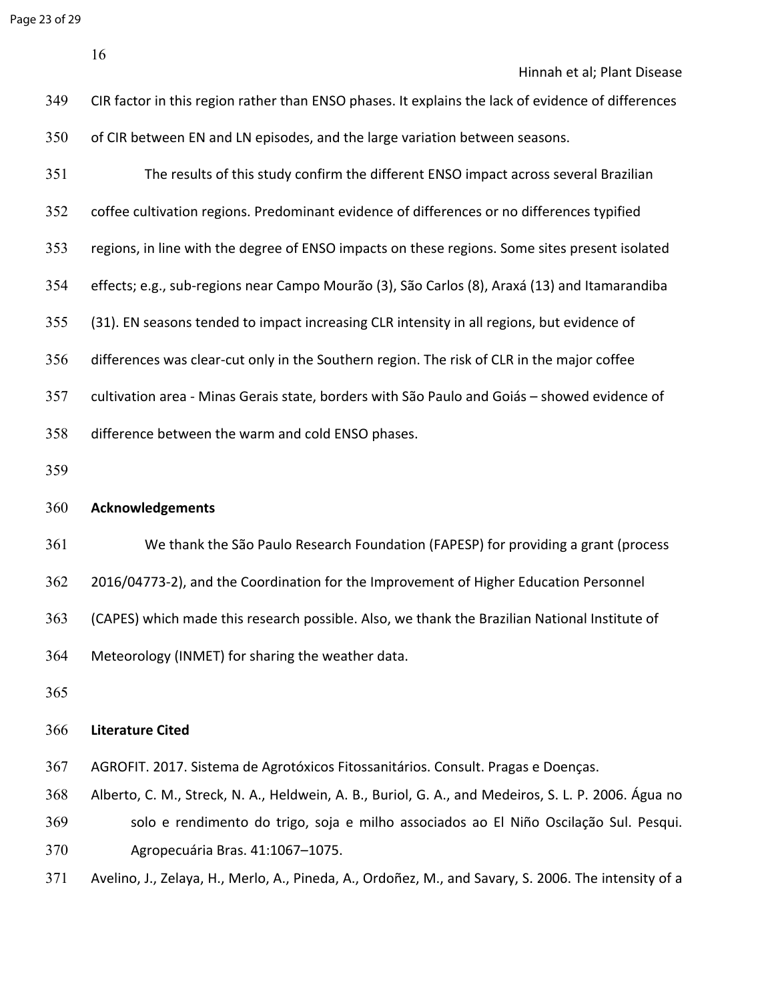|     | 16                                                                                                 |
|-----|----------------------------------------------------------------------------------------------------|
|     | Hinnah et al; Plant Disease                                                                        |
| 349 | CIR factor in this region rather than ENSO phases. It explains the lack of evidence of differences |
| 350 | of CIR between EN and LN episodes, and the large variation between seasons.                        |
| 351 | The results of this study confirm the different ENSO impact across several Brazilian               |
| 352 | coffee cultivation regions. Predominant evidence of differences or no differences typified         |
| 353 | regions, in line with the degree of ENSO impacts on these regions. Some sites present isolated     |
| 354 | effects; e.g., sub-regions near Campo Mourão (3), São Carlos (8), Araxá (13) and Itamarandiba      |
| 355 | (31). EN seasons tended to impact increasing CLR intensity in all regions, but evidence of         |
| 356 | differences was clear-cut only in the Southern region. The risk of CLR in the major coffee         |
| 357 | cultivation area - Minas Gerais state, borders with São Paulo and Goiás - showed evidence of       |
| 358 | difference between the warm and cold ENSO phases.                                                  |
| 359 |                                                                                                    |
| 360 | <b>Acknowledgements</b>                                                                            |
| 361 | We thank the São Paulo Research Foundation (FAPESP) for providing a grant (process                 |
| 362 | 2016/04773-2), and the Coordination for the Improvement of Higher Education Personnel              |
| 363 | (CAPES) which made this research possible. Also, we thank the Brazilian National Institute of      |
| 364 | Meteorology (INMET) for sharing the weather data.                                                  |
| 365 |                                                                                                    |

### **Literature Cited**

- AGROFIT. 2017. Sistema de Agrotóxicos Fitossanitários. Consult. Pragas e Doenças.
- Alberto, C. M., Streck, N. A., Heldwein, A. B., Buriol, G. A., and Medeiros, S. L. P. 2006. Água no solo e rendimento do trigo, soja e milho associados ao El Niño Oscilação Sul. Pesqui. Agropecuária Bras. 41:1067–1075.
- Avelino, J., Zelaya, H., Merlo, A., Pineda, A., Ordoñez, M., and Savary, S. 2006. The intensity of a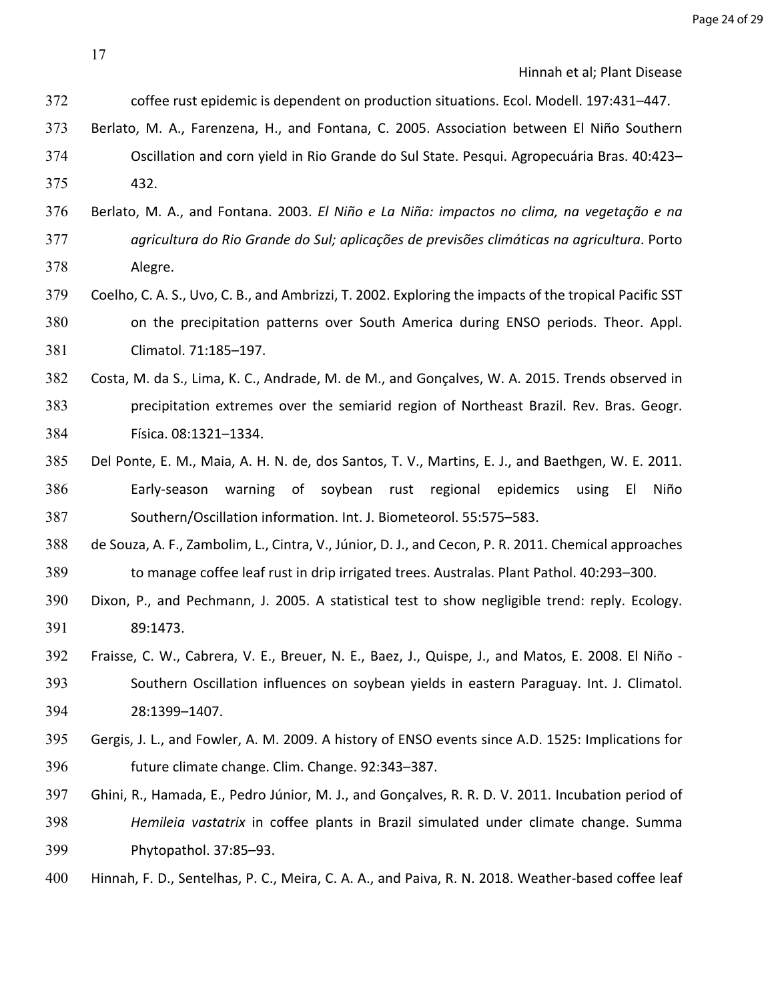- coffee rust epidemic is dependent on production situations. Ecol. Modell. 197:431–447.
- Berlato, M. A., Farenzena, H., and Fontana, C. 2005. Association between El Niño Southern Oscillation and corn yield in Rio Grande do Sul State. Pesqui. Agropecuária Bras. 40:423– 432.
- Berlato, M. A., and Fontana. 2003. *El Niño e La Niña: impactos no clima, na vegetação e na agricultura do Rio Grande do Sul; aplicações de previsões climáticas na agricultura*. Porto Alegre.
- Coelho, C. A. S., Uvo, C. B., and Ambrizzi, T. 2002. Exploring the impacts of the tropical Pacific SST on the precipitation patterns over South America during ENSO periods. Theor. Appl. Climatol. 71:185–197.
- Costa, M. da S., Lima, K. C., Andrade, M. de M., and Gonçalves, W. A. 2015. Trends observed in precipitation extremes over the semiarid region of Northeast Brazil. Rev. Bras. Geogr. Física. 08:1321–1334.
- Del Ponte, E. M., Maia, A. H. N. de, dos Santos, T. V., Martins, E. J., and Baethgen, W. E. 2011. Early-season warning of soybean rust regional epidemics using El Niño Southern/Oscillation information. Int. J. Biometeorol. 55:575–583.
- de Souza, A. F., Zambolim, L., Cintra, V., Júnior, D. J., and Cecon, P. R. 2011. Chemical approaches to manage coffee leaf rust in drip irrigated trees. Australas. Plant Pathol. 40:293–300.
- Dixon, P., and Pechmann, J. 2005. A statistical test to show negligible trend: reply. Ecology. 89:1473.
- Fraisse, C. W., Cabrera, V. E., Breuer, N. E., Baez, J., Quispe, J., and Matos, E. 2008. El Niño Southern Oscillation influences on soybean yields in eastern Paraguay. Int. J. Climatol. 28:1399–1407.
- Gergis, J. L., and Fowler, A. M. 2009. A history of ENSO events since A.D. 1525: Implications for future climate change. Clim. Change. 92:343–387.
- Ghini, R., Hamada, E., Pedro Júnior, M. J., and Gonçalves, R. R. D. V. 2011. Incubation period of *Hemileia vastatrix* in coffee plants in Brazil simulated under climate change. Summa Phytopathol. 37:85–93.
- Hinnah, F. D., Sentelhas, P. C., Meira, C. A. A., and Paiva, R. N. 2018. Weather-based coffee leaf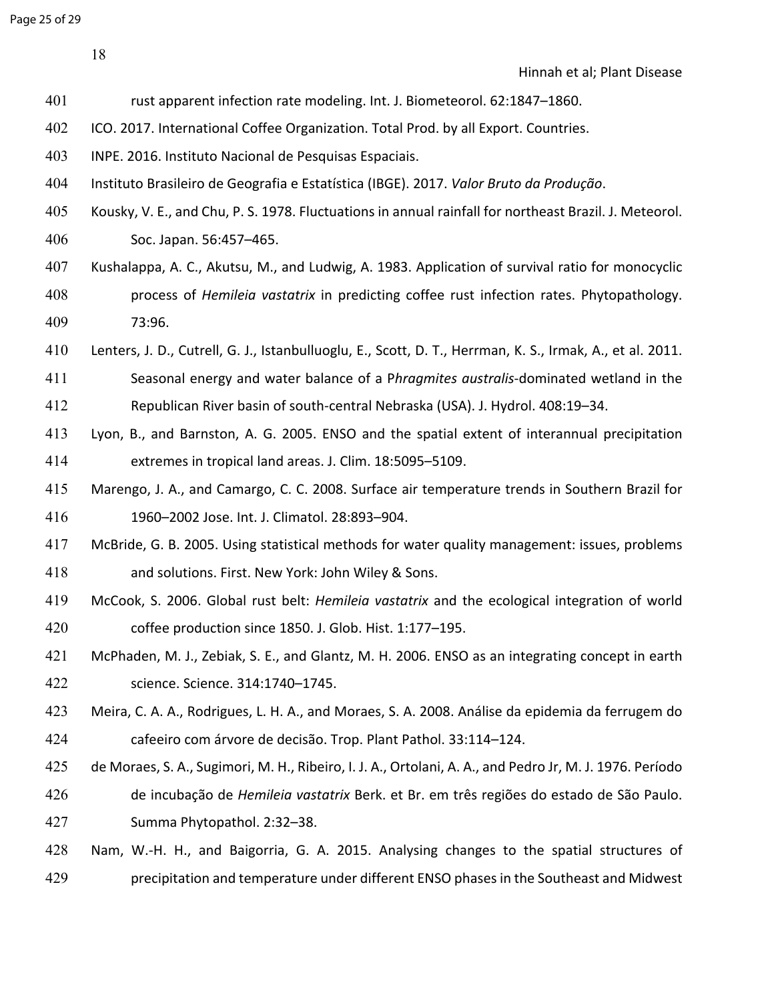Page 25 of 29

Hinnah et al; Plant Disease

- rust apparent infection rate modeling. Int. J. Biometeorol. 62:1847–1860.
- ICO. 2017. International Coffee Organization. Total Prod. by all Export. Countries.
- INPE. 2016. Instituto Nacional de Pesquisas Espaciais.
- Instituto Brasileiro de Geografia e Estatística (IBGE). 2017. *Valor Bruto da Produção*.
- Kousky, V. E., and Chu, P. S. 1978. Fluctuations in annual rainfall for northeast Brazil. J. Meteorol. Soc. Japan. 56:457–465.
- Kushalappa, A. C., Akutsu, M., and Ludwig, A. 1983. Application of survival ratio for monocyclic process of *Hemileia vastatrix* in predicting coffee rust infection rates. Phytopathology. 73:96.
- Lenters, J. D., Cutrell, G. J., Istanbulluoglu, E., Scott, D. T., Herrman, K. S., Irmak, A., et al. 2011.
- Seasonal energy and water balance of a P*hragmites australis*-dominated wetland in the Republican River basin of south-central Nebraska (USA). J. Hydrol. 408:19–34.
- Lyon, B., and Barnston, A. G. 2005. ENSO and the spatial extent of interannual precipitation extremes in tropical land areas. J. Clim. 18:5095–5109.
- Marengo, J. A., and Camargo, C. C. 2008. Surface air temperature trends in Southern Brazil for 1960–2002 Jose. Int. J. Climatol. 28:893–904.
- McBride, G. B. 2005. Using statistical methods for water quality management: issues, problems and solutions. First. New York: John Wiley & Sons.
- McCook, S. 2006. Global rust belt: *Hemileia vastatrix* and the ecological integration of world coffee production since 1850. J. Glob. Hist. 1:177–195.
- McPhaden, M. J., Zebiak, S. E., and Glantz, M. H. 2006. ENSO as an integrating concept in earth science. Science. 314:1740–1745.
- Meira, C. A. A., Rodrigues, L. H. A., and Moraes, S. A. 2008. Análise da epidemia da ferrugem do cafeeiro com árvore de decisão. Trop. Plant Pathol. 33:114–124.
- de Moraes, S. A., Sugimori, M. H., Ribeiro, I. J. A., Ortolani, A. A., and Pedro Jr, M. J. 1976. Período
- de incubação de *Hemileia vastatrix* Berk. et Br. em três regiões do estado de São Paulo. Summa Phytopathol. 2:32–38.
- Nam, W.-H. H., and Baigorria, G. A. 2015. Analysing changes to the spatial structures of precipitation and temperature under different ENSO phases in the Southeast and Midwest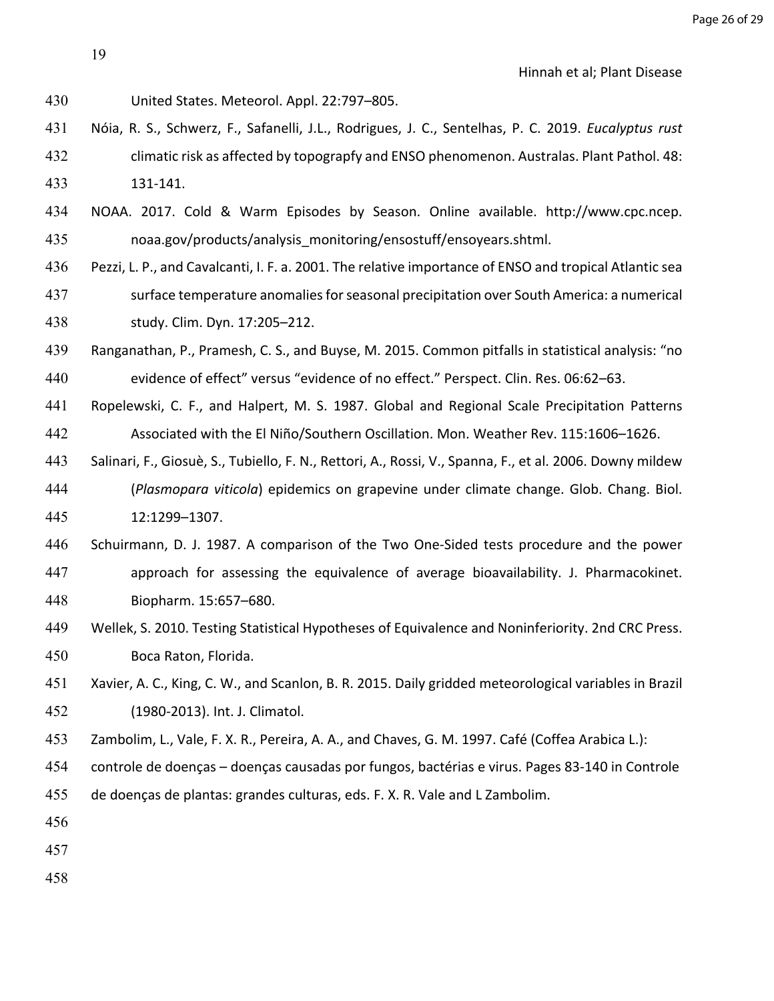United States. Meteorol. Appl. 22:797–805.

- Nóia, R. S., Schwerz, F., Safanelli, J.L., Rodrigues, J. C., Sentelhas, P. C. 2019. *Eucalyptus rust*  climatic risk as affected by topograpfy and ENSO phenomenon. Australas. Plant Pathol. 48: 131-141.
- NOAA. 2017. Cold & Warm Episodes by Season. Online available. http://www.cpc.ncep. noaa.gov/products/analysis\_monitoring/ensostuff/ensoyears.shtml.
- Pezzi, L. P., and Cavalcanti, I. F. a. 2001. The relative importance of ENSO and tropical Atlantic sea
- surface temperature anomalies for seasonal precipitation over South America: a numerical study. Clim. Dyn. 17:205–212.
- Ranganathan, P., Pramesh, C. S., and Buyse, M. 2015. Common pitfalls in statistical analysis: "no evidence of effect" versus "evidence of no effect." Perspect. Clin. Res. 06:62–63.
- Ropelewski, C. F., and Halpert, M. S. 1987. Global and Regional Scale Precipitation Patterns Associated with the El Niño/Southern Oscillation. Mon. Weather Rev. 115:1606–1626.
- Salinari, F., Giosuè, S., Tubiello, F. N., Rettori, A., Rossi, V., Spanna, F., et al. 2006. Downy mildew (*Plasmopara viticola*) epidemics on grapevine under climate change. Glob. Chang. Biol. 12:1299–1307.
- Schuirmann, D. J. 1987. A comparison of the Two One-Sided tests procedure and the power approach for assessing the equivalence of average bioavailability. J. Pharmacokinet. Biopharm. 15:657–680.
- Wellek, S. 2010. Testing Statistical Hypotheses of Equivalence and Noninferiority. 2nd CRC Press. Boca Raton, Florida.
- Xavier, A. C., King, C. W., and Scanlon, B. R. 2015. Daily gridded meteorological variables in Brazil (1980-2013). Int. J. Climatol.
- Zambolim, L., Vale, F. X. R., Pereira, A. A., and Chaves, G. M. 1997. Café (Coffea Arabica L.):
- controle de doenças doenças causadas por fungos, bactérias e virus. Pages 83-140 in Controle
- de doenças de plantas: grandes culturas, eds. F. X. R. Vale and L Zambolim.
- 
- 
-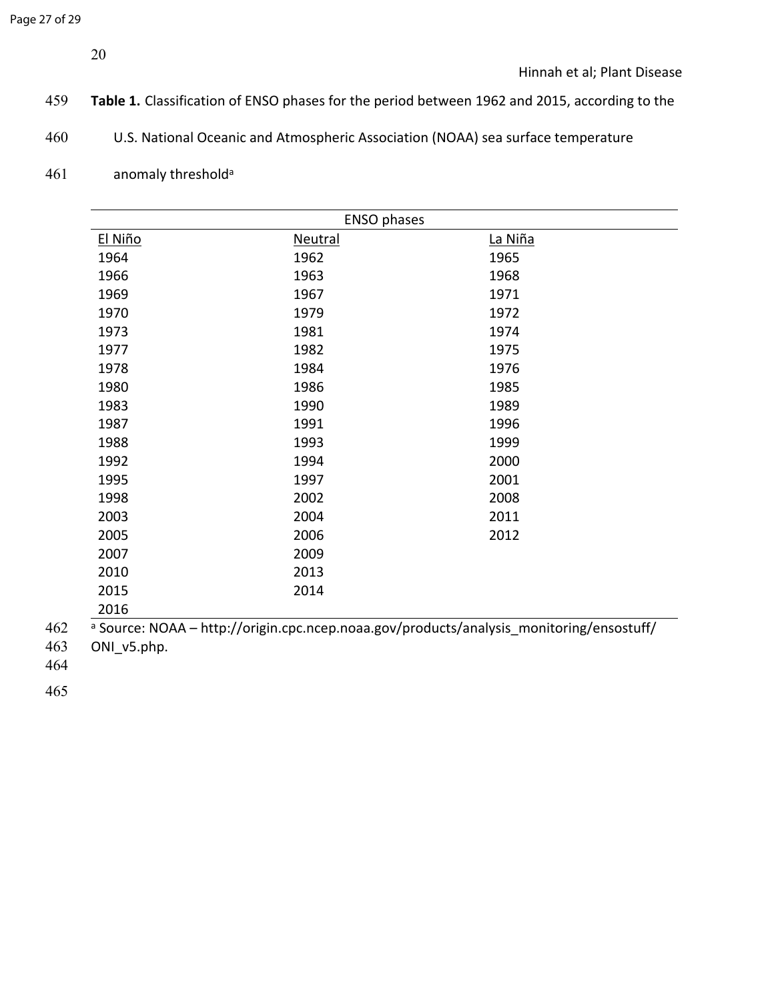- **Table 1.** Classification of ENSO phases for the period between 1962 and 2015, according to the
- U.S. National Oceanic and Atmospheric Association (NOAA) sea surface temperature
- anomaly threshold<sup>a</sup>

|                                                                                                     | <b>ENSO phases</b> |         |  |  |
|-----------------------------------------------------------------------------------------------------|--------------------|---------|--|--|
| El Niño                                                                                             | <b>Neutral</b>     | La Niña |  |  |
| 1964                                                                                                | 1962               | 1965    |  |  |
| 1966                                                                                                | 1963               | 1968    |  |  |
| 1969                                                                                                | 1967               | 1971    |  |  |
| 1970                                                                                                | 1979               | 1972    |  |  |
| 1973                                                                                                | 1981               | 1974    |  |  |
| 1977                                                                                                | 1982               | 1975    |  |  |
| 1978                                                                                                | 1984               | 1976    |  |  |
| 1980                                                                                                | 1986               | 1985    |  |  |
| 1983                                                                                                | 1990               | 1989    |  |  |
| 1987                                                                                                | 1991               | 1996    |  |  |
| 1988                                                                                                | 1993               | 1999    |  |  |
| 1992                                                                                                | 1994               | 2000    |  |  |
| 1995                                                                                                | 1997               | 2001    |  |  |
| 1998                                                                                                | 2002               | 2008    |  |  |
| 2003                                                                                                | 2004               | 2011    |  |  |
| 2005                                                                                                | 2006               | 2012    |  |  |
| 2007                                                                                                | 2009               |         |  |  |
| 2010                                                                                                | 2013               |         |  |  |
| 2015                                                                                                | 2014               |         |  |  |
| 2016                                                                                                |                    |         |  |  |
| <sup>a</sup> Source: NOAA - http://origin.cpc.ncep.noaa.gov/products/analysis_monitoring/ensostuff/ |                    |         |  |  |

ONI\_v5.php.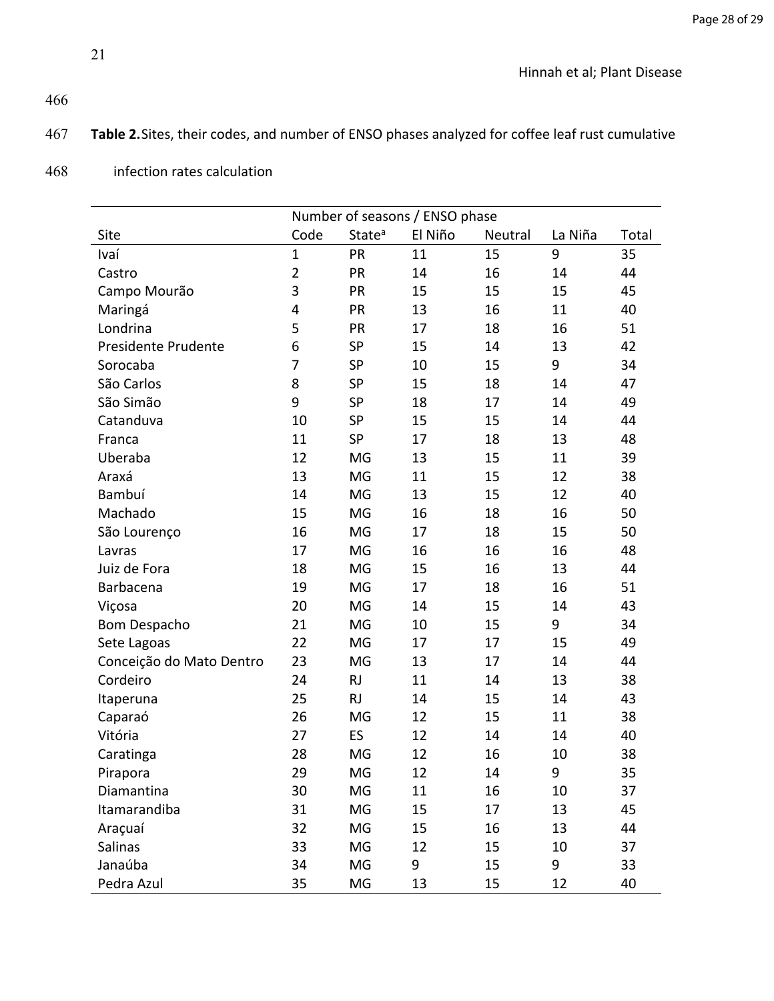# 467 **Table 2.**Sites, their codes, and number of ENSO phases analyzed for coffee leaf rust cumulative

|                          | Number of seasons / ENSO phase |                    |         |         |         |       |  |  |
|--------------------------|--------------------------------|--------------------|---------|---------|---------|-------|--|--|
| Site                     | Code                           | State <sup>a</sup> | El Niño | Neutral | La Niña | Total |  |  |
| Ivaí                     | $\mathbf 1$                    | PR                 | 11      | 15      | 9       | 35    |  |  |
| Castro                   | $\overline{2}$                 | PR                 | 14      | 16      | 14      | 44    |  |  |
| Campo Mourão             | 3                              | PR                 | 15      | 15      | 15      | 45    |  |  |
| Maringá                  | 4                              | PR                 | 13      | 16      | 11      | 40    |  |  |
| Londrina                 | 5                              | PR                 | 17      | 18      | 16      | 51    |  |  |
| Presidente Prudente      | 6                              | SP                 | 15      | 14      | 13      | 42    |  |  |
| Sorocaba                 | 7                              | SP                 | 10      | 15      | 9       | 34    |  |  |
| São Carlos               | 8                              | SP                 | 15      | 18      | 14      | 47    |  |  |
| São Simão                | 9                              | SP                 | 18      | 17      | 14      | 49    |  |  |
| Catanduva                | 10                             | SP                 | 15      | 15      | 14      | 44    |  |  |
| Franca                   | 11                             | SP                 | 17      | 18      | 13      | 48    |  |  |
| Uberaba                  | 12                             | MG                 | 13      | 15      | 11      | 39    |  |  |
| Araxá                    | 13                             | MG                 | 11      | 15      | 12      | 38    |  |  |
| Bambuí                   | 14                             | MG                 | 13      | 15      | 12      | 40    |  |  |
| Machado                  | 15                             | MG                 | 16      | 18      | 16      | 50    |  |  |
| São Lourenço             | 16                             | MG                 | 17      | 18      | 15      | 50    |  |  |
| Lavras                   | 17                             | MG                 | 16      | 16      | 16      | 48    |  |  |
| Juiz de Fora             | 18                             | MG                 | 15      | 16      | 13      | 44    |  |  |
| Barbacena                | 19                             | MG                 | 17      | 18      | 16      | 51    |  |  |
| Viçosa                   | 20                             | MG                 | 14      | 15      | 14      | 43    |  |  |
| <b>Bom Despacho</b>      | 21                             | MG                 | 10      | 15      | 9       | 34    |  |  |
| Sete Lagoas              | 22                             | MG                 | 17      | 17      | 15      | 49    |  |  |
| Conceição do Mato Dentro | 23                             | MG                 | 13      | 17      | 14      | 44    |  |  |
| Cordeiro                 | 24                             | <b>RJ</b>          | 11      | 14      | 13      | 38    |  |  |
| Itaperuna                | 25                             | <b>RJ</b>          | 14      | 15      | 14      | 43    |  |  |
| Caparaó                  | 26                             | MG                 | 12      | 15      | 11      | 38    |  |  |
| Vitória                  | 27                             | ES                 | 12      | 14      | 14      | 40    |  |  |
| Caratinga                | 28                             | MG                 | 12      | 16      | 10      | 38    |  |  |
| Pirapora                 | 29                             | MG                 | 12      | 14      | 9       | 35    |  |  |
| Diamantina               | 30                             | MG                 | 11      | 16      | 10      | 37    |  |  |
| Itamarandiba             | 31                             | MG                 | 15      | 17      | 13      | 45    |  |  |
| Araçuaí                  | 32                             | MG                 | 15      | 16      | 13      | 44    |  |  |
| Salinas                  | 33                             | MG                 | 12      | 15      | 10      | 37    |  |  |
| Janaúba                  | 34                             | MG                 | 9       | 15      | 9       | 33    |  |  |
| Pedra Azul               | 35                             | MG                 | 13      | 15      | 12      | 40    |  |  |

# 468 infection rates calculation